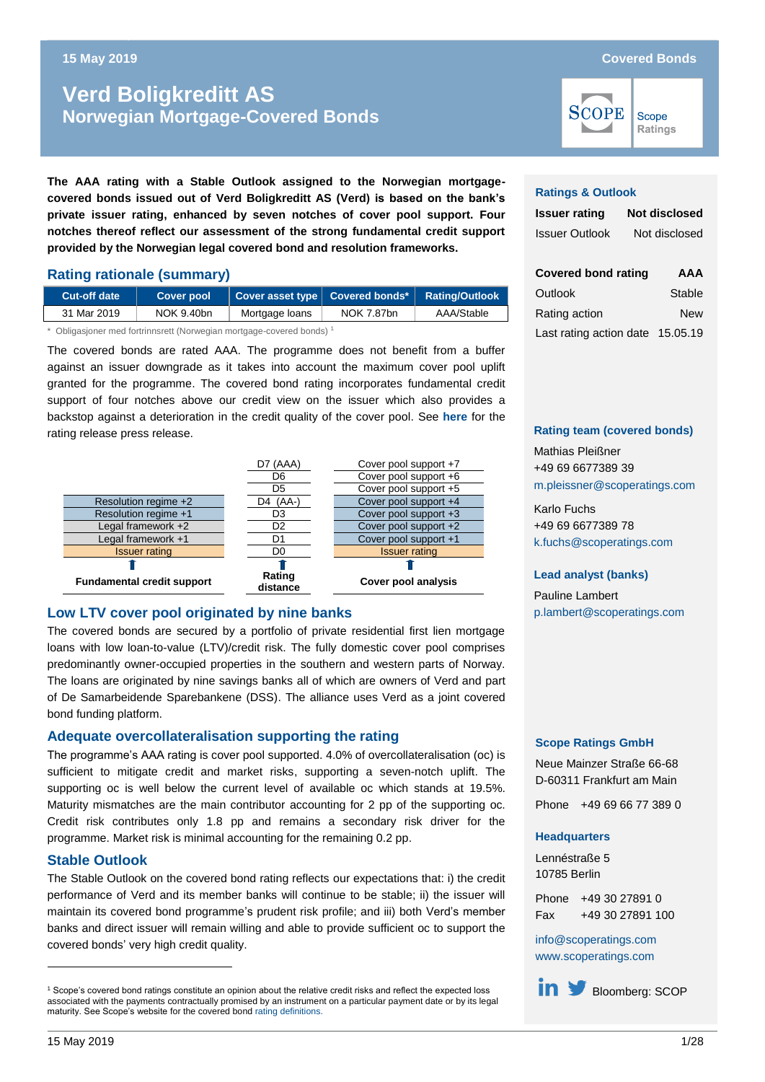# **Norwegian Mortgage-Covered Bonds Verd Boligkreditt AS Norwegian Mortgage-Covered Bonds**

**The AAA rating with a Stable Outlook assigned to the Norwegian mortgagecovered bonds issued out of Verd Boligkreditt AS (Verd) is based on the bank's private issuer rating, enhanced by seven notches of cover pool support. Four notches thereof reflect our assessment of the strong fundamental credit support provided by the Norwegian legal covered bond and resolution frameworks.**

#### **Rating rationale (summary)**

| Cut-off date                                                          | <b>Cover pool</b> | Cover asset type Covered bonds* |            | <b>Rating/Outlook</b> |  |  |
|-----------------------------------------------------------------------|-------------------|---------------------------------|------------|-----------------------|--|--|
| 31 Mar 2019                                                           | NOK 9.40bn        | Mortgage loans                  | NOK 7.87bn | AAA/Stable            |  |  |
| * Obligasjoner med fortrinnsrett (Norwegian mortgage-covered bonds) 1 |                   |                                 |            |                       |  |  |

The covered bonds are rated AAA. The programme does not benefit from a buffer against an issuer downgrade as it takes into account the maximum cover pool uplift granted for the programme. The covered bond rating incorporates fundamental credit support of four notches above our credit view on the issuer which also provides a backstop against a deterioration in the credit quality of the cover pool. See **[here](https://www.scoperatings.com/#search/research/detail/159691EN)** for the rating release press release.



#### **Low LTV cover pool originated by nine banks**

The covered bonds are secured by a portfolio of private residential first lien mortgage loans with low loan-to-value (LTV)/credit risk. The fully domestic cover pool comprises predominantly owner-occupied properties in the southern and western parts of Norway. The loans are originated by nine savings banks all of which are owners of Verd and part of De Samarbeidende Sparebankene (DSS). The alliance uses Verd as a joint covered bond funding platform.

#### **Adequate overcollateralisation supporting the rating**

The programme's AAA rating is cover pool supported. 4.0% of overcollateralisation (oc) is sufficient to mitigate credit and market risks, supporting a seven-notch uplift. The supporting oc is well below the current level of available oc which stands at 19.5%. Maturity mismatches are the main contributor accounting for 2 pp of the supporting oc. Credit risk contributes only 1.8 pp and remains a secondary risk driver for the programme. Market risk is minimal accounting for the remaining 0.2 pp.

#### **Stable Outlook**

The Stable Outlook on the covered bond rating reflects our expectations that: i) the credit performance of Verd and its member banks will continue to be stable; ii) the issuer will maintain its covered bond programme's prudent risk profile; and iii) both Verd's member banks and direct issuer will remain willing and able to provide sufficient oc to support the covered bonds' very high credit quality.

#### **Ratings & Outlook**

**SCOPE** 

| <b>Issuer rating</b>  | <b>Not disclosed</b> |
|-----------------------|----------------------|
| <b>Issuer Outlook</b> | Not disclosed        |

| <b>Covered bond rating</b>       | AAA        |
|----------------------------------|------------|
| Outlook                          | Stable     |
| Rating action                    | <b>New</b> |
| Last rating action date 15.05.19 |            |

#### **Rating team (covered bonds)**

Mathias Pleißner +49 69 6677389 39 [m.pleissner@scoperatings.com](mailto:m.pleissner@scoperatings.com)

Karlo Fuchs +49 69 6677389 78 [k.fuchs@scoperatings.com](mailto:k.fuchs@scoperatings.com)

#### **Lead analyst (banks)**

Pauline Lambert [p.lambert@scoperatings.com](mailto:p.lambert@scoperatings.com)

#### **Scope Ratings GmbH**

Neue Mainzer Straße 66-68 D-60311 Frankfurt am Main

Phone +49 69 66 77 389 0

#### **Headquarters**

Lennéstraße 5 10785 Berlin

Phone +49 30 27891 0 Fax +49 30 27891 100

[info@scoperatings.com](mailto:info@scoperatings.com) [www.scoperatings.com](https://www.scoperatings.com/)

in **Bloomberg: SCOP** 

Scope Ratings

<sup>1</sup> Scope's covered bond ratings constitute an opinion about the relative credit risks and reflect the expected loss associated with the payments contractually promised by an instrument on a particular payment date or by its legal maturity. See Scope's website for the covered bon[d rating definitions.](http://www.scoperatings.com/governance-and-policies/rating-governance/rating-definitions-structured-finance)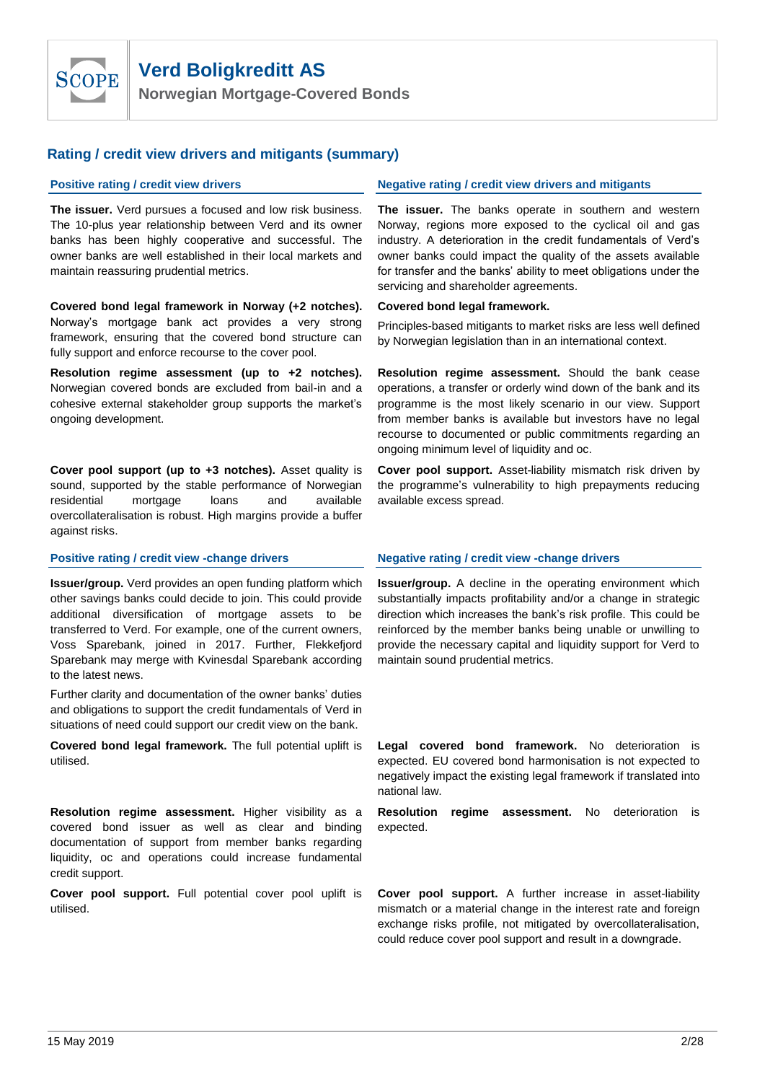

**Norwegian Mortgage-Covered Bonds**

#### **Rating / credit view drivers and mitigants (summary)**

**The issuer.** Verd pursues a focused and low risk business. The 10-plus year relationship between Verd and its owner banks has been highly cooperative and successful. The owner banks are well established in their local markets and maintain reassuring prudential metrics.

**Covered bond legal framework in Norway (+2 notches).**  Norway's mortgage bank act provides a very strong framework, ensuring that the covered bond structure can fully support and enforce recourse to the cover pool.

**Resolution regime assessment (up to +2 notches).** Norwegian covered bonds are excluded from bail-in and a cohesive external stakeholder group supports the market's ongoing development.

**Cover pool support (up to +3 notches).** Asset quality is sound, supported by the stable performance of Norwegian residential mortgage loans and available overcollateralisation is robust. High margins provide a buffer against risks.

**Issuer/group.** Verd provides an open funding platform which other savings banks could decide to join. This could provide additional diversification of mortgage assets to be transferred to Verd. For example, one of the current owners, Voss Sparebank, joined in 2017. Further, Flekkefjord Sparebank may merge with Kvinesdal Sparebank according to the latest news.

Further clarity and documentation of the owner banks' duties and obligations to support the credit fundamentals of Verd in situations of need could support our credit view on the bank.

**Covered bond legal framework.** The full potential uplift is utilised.

**Resolution regime assessment.** Higher visibility as a covered bond issuer as well as clear and binding documentation of support from member banks regarding liquidity, oc and operations could increase fundamental credit support.

**Cover pool support.** Full potential cover pool uplift is utilised.

#### **Positive rating / credit view drivers Negative rating / credit view drivers and mitigants**

**The issuer.** The banks operate in southern and western Norway, regions more exposed to the cyclical oil and gas industry. A deterioration in the credit fundamentals of Verd's owner banks could impact the quality of the assets available for transfer and the banks' ability to meet obligations under the servicing and shareholder agreements.

#### **Covered bond legal framework.**

Principles-based mitigants to market risks are less well defined by Norwegian legislation than in an international context.

**Resolution regime assessment.** Should the bank cease operations, a transfer or orderly wind down of the bank and its programme is the most likely scenario in our view. Support from member banks is available but investors have no legal recourse to documented or public commitments regarding an ongoing minimum level of liquidity and oc.

**Cover pool support.** Asset-liability mismatch risk driven by the programme's vulnerability to high prepayments reducing available excess spread.

#### **Positive rating / credit view -change drivers Negative rating / credit view -change drivers**

**Issuer/group.** A decline in the operating environment which substantially impacts profitability and/or a change in strategic direction which increases the bank's risk profile. This could be reinforced by the member banks being unable or unwilling to provide the necessary capital and liquidity support for Verd to maintain sound prudential metrics.

**Legal covered bond framework.** No deterioration is expected. EU covered bond harmonisation is not expected to negatively impact the existing legal framework if translated into national law.

**Resolution regime assessment.** No deterioration is expected.

**Cover pool support.** A further increase in asset-liability mismatch or a material change in the interest rate and foreign exchange risks profile, not mitigated by overcollateralisation, could reduce cover pool support and result in a downgrade.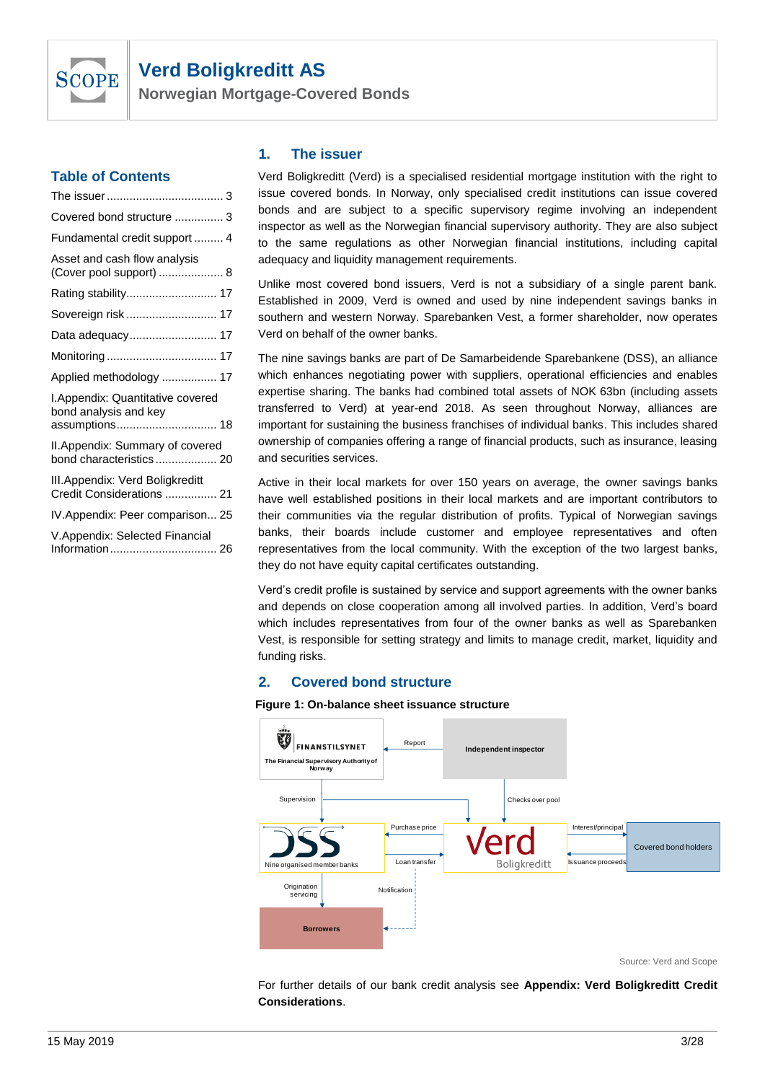

**Norwegian Mortgage-Covered Bonds**

#### **Table of Contents**

| Covered bond structure  3                                    |
|--------------------------------------------------------------|
| Fundamental credit support  4                                |
| Asset and cash flow analysis<br>(Cover pool support)  8      |
| Rating stability 17                                          |
| Sovereign risk  17                                           |
| Data adequacy 17                                             |
|                                                              |
| Applied methodology  17                                      |
| I.Appendix: Quantitative covered<br>bond analysis and key    |
| assumptions 18                                               |
| II. Appendix: Summary of covered<br>bond characteristics 20  |
| III.Appendix: Verd Boligkreditt<br>Credit Considerations  21 |
| IV.Appendix: Peer comparison 25                              |
| V.Appendix: Selected Financial                               |

#### <span id="page-2-0"></span>**1. The issuer**

Verd Boligkreditt (Verd) is a specialised residential mortgage institution with the right to issue covered bonds. In Norway, only specialised credit institutions can issue covered bonds and are subject to a specific supervisory regime involving an independent inspector as well as the Norwegian financial supervisory authority. They are also subject to the same regulations as other Norwegian financial institutions, including capital adequacy and liquidity management requirements.

Unlike most covered bond issuers, Verd is not a subsidiary of a single parent bank. Established in 2009, Verd is owned and used by nine independent savings banks in southern and western Norway. Sparebanken Vest, a former shareholder, now operates Verd on behalf of the owner banks.

The nine savings banks are part of De Samarbeidende Sparebankene (DSS), an alliance which enhances negotiating power with suppliers, operational efficiencies and enables expertise sharing. The banks had combined total assets of NOK 63bn (including assets transferred to Verd) at year-end 2018. As seen throughout Norway, alliances are important for sustaining the business franchises of individual banks. This includes shared ownership of companies offering a range of financial products, such as insurance, leasing and securities services.

Active in their local markets for over 150 years on average, the owner savings banks have well established positions in their local markets and are important contributors to their communities via the regular distribution of profits. Typical of Norwegian savings banks, their boards include customer and employee representatives and often representatives from the local community. With the exception of the two largest banks, they do not have equity capital certificates outstanding.

Verd's credit profile is sustained by service and support agreements with the owner banks and depends on close cooperation among all involved parties. In addition, Verd's board which includes representatives from four of the owner banks as well as Sparebanken Vest, is responsible for setting strategy and limits to manage credit, market, liquidity and funding risks.

### **2. Covered bond structure**

<span id="page-2-1"></span>



Source: Verd and Scope

For further details of our bank credit analysis see **[Appendix: Verd Boligkreditt Credit](#page-20-0)  [Considerations](#page-20-0)**.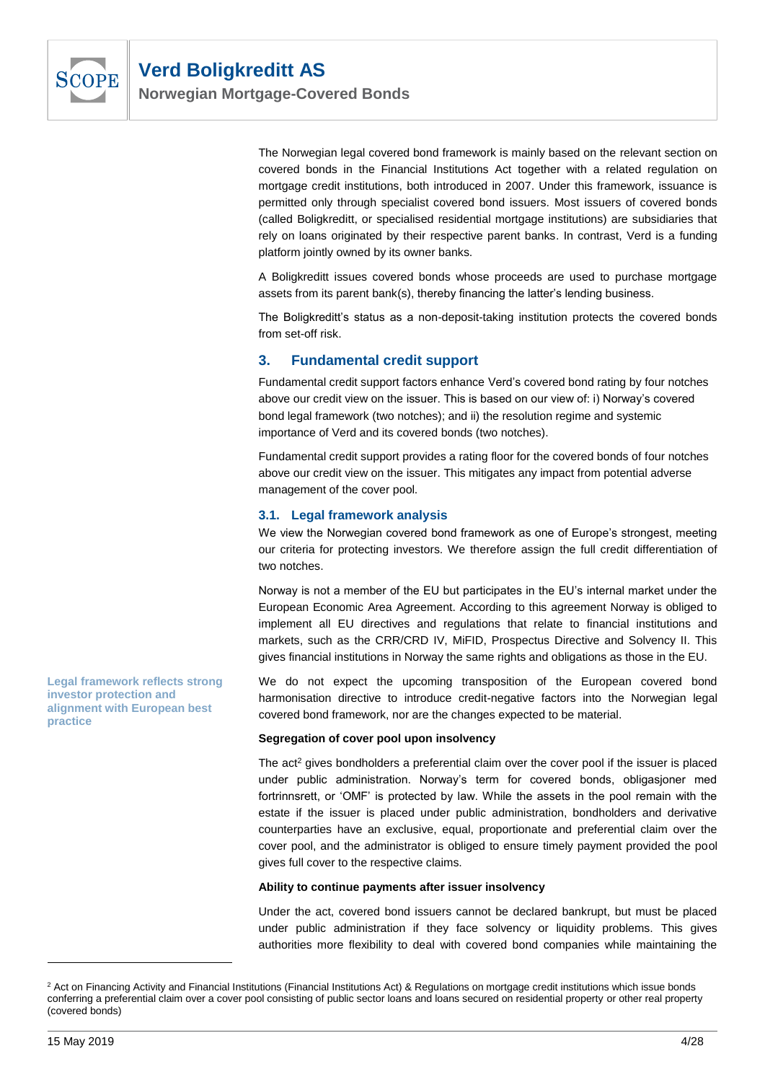

The Norwegian legal covered bond framework is mainly based on the relevant section on covered bonds in the Financial Institutions Act together with a related regulation on mortgage credit institutions, both introduced in 2007. Under this framework, issuance is permitted only through specialist covered bond issuers. Most issuers of covered bonds (called Boligkreditt, or specialised residential mortgage institutions) are subsidiaries that rely on loans originated by their respective parent banks. In contrast, Verd is a funding platform jointly owned by its owner banks.

A Boligkreditt issues covered bonds whose proceeds are used to purchase mortgage assets from its parent bank(s), thereby financing the latter's lending business.

The Boligkreditt's status as a non-deposit-taking institution protects the covered bonds from set-off risk.

#### <span id="page-3-0"></span>**3. Fundamental credit support**

Fundamental credit support factors enhance Verd's covered bond rating by four notches above our credit view on the issuer. This is based on our view of: i) Norway's covered bond legal framework (two notches); and ii) the resolution regime and systemic importance of Verd and its covered bonds (two notches).

Fundamental credit support provides a rating floor for the covered bonds of four notches above our credit view on the issuer. This mitigates any impact from potential adverse management of the cover pool.

#### **3.1. Legal framework analysis**

We view the Norwegian covered bond framework as one of Europe's strongest, meeting our criteria for protecting investors. We therefore assign the full credit differentiation of two notches.

Norway is not a member of the EU but participates in the EU's internal market under the European Economic Area Agreement. According to this agreement Norway is obliged to implement all EU directives and regulations that relate to financial institutions and markets, such as the CRR/CRD IV, MiFID, Prospectus Directive and Solvency II. This gives financial institutions in Norway the same rights and obligations as those in the EU.

We do not expect the upcoming transposition of the European covered bond harmonisation directive to introduce credit-negative factors into the Norwegian legal covered bond framework, nor are the changes expected to be material.

#### **Segregation of cover pool upon insolvency**

The act<sup>2</sup> gives bondholders a preferential claim over the cover pool if the issuer is placed under public administration. Norway's term for covered bonds, obligasjoner med fortrinnsrett, or 'OMF' is protected by law. While the assets in the pool remain with the estate if the issuer is placed under public administration, bondholders and derivative counterparties have an exclusive, equal, proportionate and preferential claim over the cover pool, and the administrator is obliged to ensure timely payment provided the pool gives full cover to the respective claims.

#### **Ability to continue payments after issuer insolvency**

Under the act, covered bond issuers cannot be declared bankrupt, but must be placed under public administration if they face solvency or liquidity problems. This gives authorities more flexibility to deal with covered bond companies while maintaining the

**Legal framework reflects strong investor protection and alignment with European best practice**

<sup>&</sup>lt;sup>2</sup> Act on Financing Activity and Financial Institutions (Financial Institutions Act) & Regulations on mortgage credit institutions which issue bonds conferring a preferential claim over a cover pool consisting of public sector loans and loans secured on residential property or other real property (covered bonds)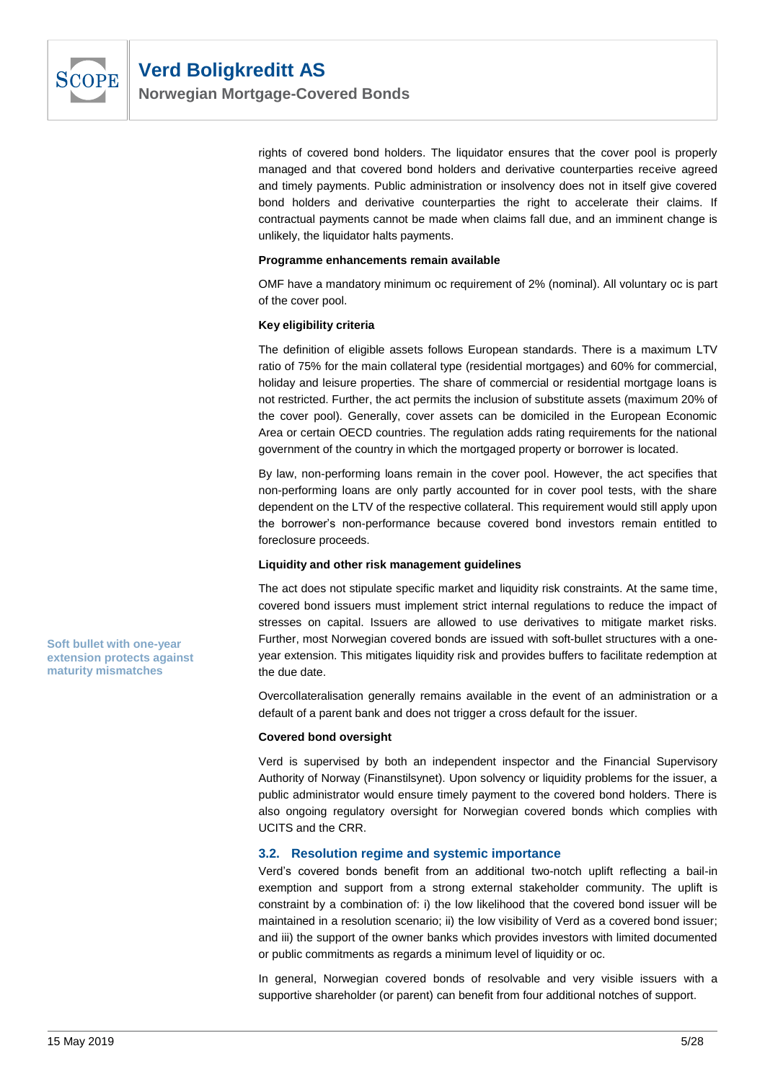

rights of covered bond holders. The liquidator ensures that the cover pool is properly managed and that covered bond holders and derivative counterparties receive agreed and timely payments. Public administration or insolvency does not in itself give covered bond holders and derivative counterparties the right to accelerate their claims. If contractual payments cannot be made when claims fall due, and an imminent change is unlikely, the liquidator halts payments.

#### **Programme enhancements remain available**

OMF have a mandatory minimum oc requirement of 2% (nominal). All voluntary oc is part of the cover pool.

#### **Key eligibility criteria**

The definition of eligible assets follows European standards. There is a maximum LTV ratio of 75% for the main collateral type (residential mortgages) and 60% for commercial, holiday and leisure properties. The share of commercial or residential mortgage loans is not restricted. Further, the act permits the inclusion of substitute assets (maximum 20% of the cover pool). Generally, cover assets can be domiciled in the European Economic Area or certain OECD countries. The regulation adds rating requirements for the national government of the country in which the mortgaged property or borrower is located.

By law, non-performing loans remain in the cover pool. However, the act specifies that non-performing loans are only partly accounted for in cover pool tests, with the share dependent on the LTV of the respective collateral. This requirement would still apply upon the borrower's non-performance because covered bond investors remain entitled to foreclosure proceeds.

#### **Liquidity and other risk management guidelines**

The act does not stipulate specific market and liquidity risk constraints. At the same time, covered bond issuers must implement strict internal regulations to reduce the impact of stresses on capital. Issuers are allowed to use derivatives to mitigate market risks. Further, most Norwegian covered bonds are issued with soft-bullet structures with a oneyear extension. This mitigates liquidity risk and provides buffers to facilitate redemption at the due date.

Overcollateralisation generally remains available in the event of an administration or a default of a parent bank and does not trigger a cross default for the issuer.

#### **Covered bond oversight**

Verd is supervised by both an independent inspector and the Financial Supervisory Authority of Norway (Finanstilsynet). Upon solvency or liquidity problems for the issuer, a public administrator would ensure timely payment to the covered bond holders. There is also ongoing regulatory oversight for Norwegian covered bonds which complies with UCITS and the CRR.

#### **3.2. Resolution regime and systemic importance**

Verd's covered bonds benefit from an additional two-notch uplift reflecting a bail-in exemption and support from a strong external stakeholder community. The uplift is constraint by a combination of: i) the low likelihood that the covered bond issuer will be maintained in a resolution scenario; ii) the low visibility of Verd as a covered bond issuer; and iii) the support of the owner banks which provides investors with limited documented or public commitments as regards a minimum level of liquidity or oc.

In general, Norwegian covered bonds of resolvable and very visible issuers with a supportive shareholder (or parent) can benefit from four additional notches of support.

**Soft bullet with one-year extension protects against maturity mismatches**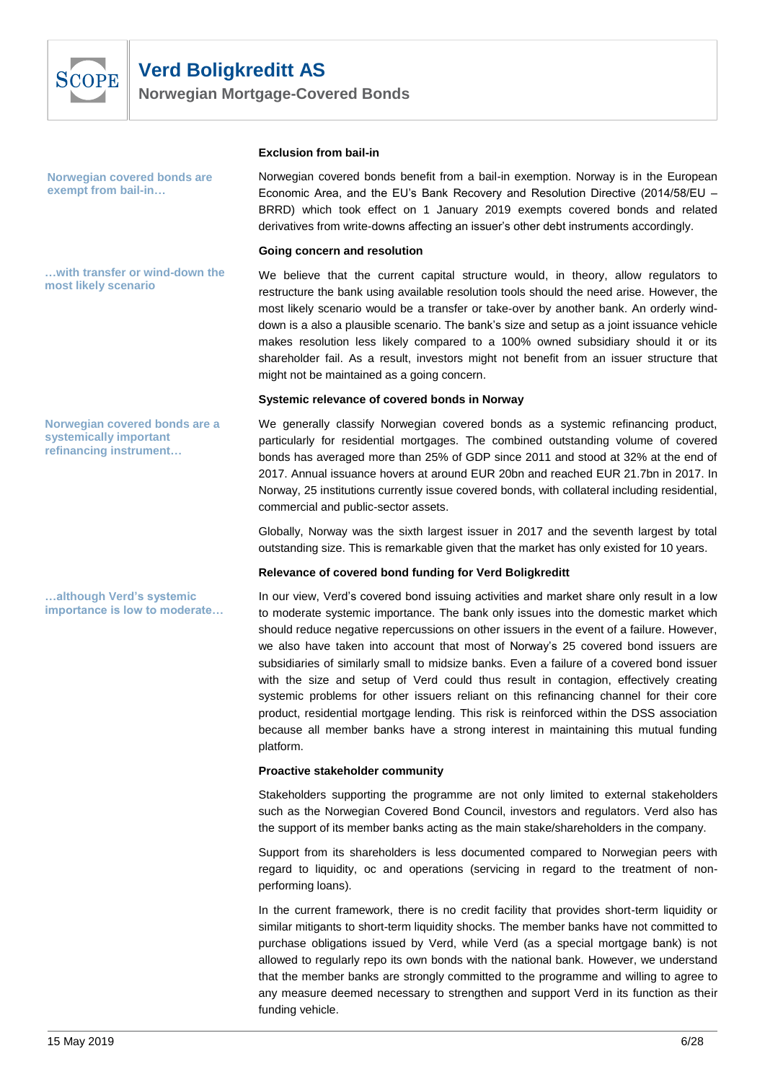

**Norwegian Mortgage-Covered Bonds**

**Norwegian covered bonds are exempt from bail-in…**

**…with transfer or wind-down the most likely scenario**

**Norwegian covered bonds are a systemically important refinancing instrument…**

**…although Verd's systemic importance is low to moderate…** 

#### **Exclusion from bail-in**

Norwegian covered bonds benefit from a bail-in exemption. Norway is in the European Economic Area, and the EU's Bank Recovery and Resolution Directive (2014/58/EU – BRRD) which took effect on 1 January 2019 exempts covered bonds and related derivatives from write-downs affecting an issuer's other debt instruments accordingly.

#### **Going concern and resolution**

We believe that the current capital structure would, in theory, allow regulators to restructure the bank using available resolution tools should the need arise. However, the most likely scenario would be a transfer or take-over by another bank. An orderly winddown is a also a plausible scenario. The bank's size and setup as a joint issuance vehicle makes resolution less likely compared to a 100% owned subsidiary should it or its shareholder fail. As a result, investors might not benefit from an issuer structure that might not be maintained as a going concern.

#### **Systemic relevance of covered bonds in Norway**

We generally classify Norwegian covered bonds as a systemic refinancing product, particularly for residential mortgages. The combined outstanding volume of covered bonds has averaged more than 25% of GDP since 2011 and stood at 32% at the end of 2017. Annual issuance hovers at around EUR 20bn and reached EUR 21.7bn in 2017. In Norway, 25 institutions currently issue covered bonds, with collateral including residential, commercial and public-sector assets.

Globally, Norway was the sixth largest issuer in 2017 and the seventh largest by total outstanding size. This is remarkable given that the market has only existed for 10 years.

#### **Relevance of covered bond funding for Verd Boligkreditt**

In our view, Verd's covered bond issuing activities and market share only result in a low to moderate systemic importance. The bank only issues into the domestic market which should reduce negative repercussions on other issuers in the event of a failure. However, we also have taken into account that most of Norway's 25 covered bond issuers are subsidiaries of similarly small to midsize banks. Even a failure of a covered bond issuer with the size and setup of Verd could thus result in contagion, effectively creating systemic problems for other issuers reliant on this refinancing channel for their core product, residential mortgage lending. This risk is reinforced within the DSS association because all member banks have a strong interest in maintaining this mutual funding platform.

#### **Proactive stakeholder community**

Stakeholders supporting the programme are not only limited to external stakeholders such as the Norwegian Covered Bond Council, investors and regulators. Verd also has the support of its member banks acting as the main stake/shareholders in the company.

Support from its shareholders is less documented compared to Norwegian peers with regard to liquidity, oc and operations (servicing in regard to the treatment of nonperforming loans).

In the current framework, there is no credit facility that provides short-term liquidity or similar mitigants to short-term liquidity shocks. The member banks have not committed to purchase obligations issued by Verd, while Verd (as a special mortgage bank) is not allowed to regularly repo its own bonds with the national bank. However, we understand that the member banks are strongly committed to the programme and willing to agree to any measure deemed necessary to strengthen and support Verd in its function as their funding vehicle.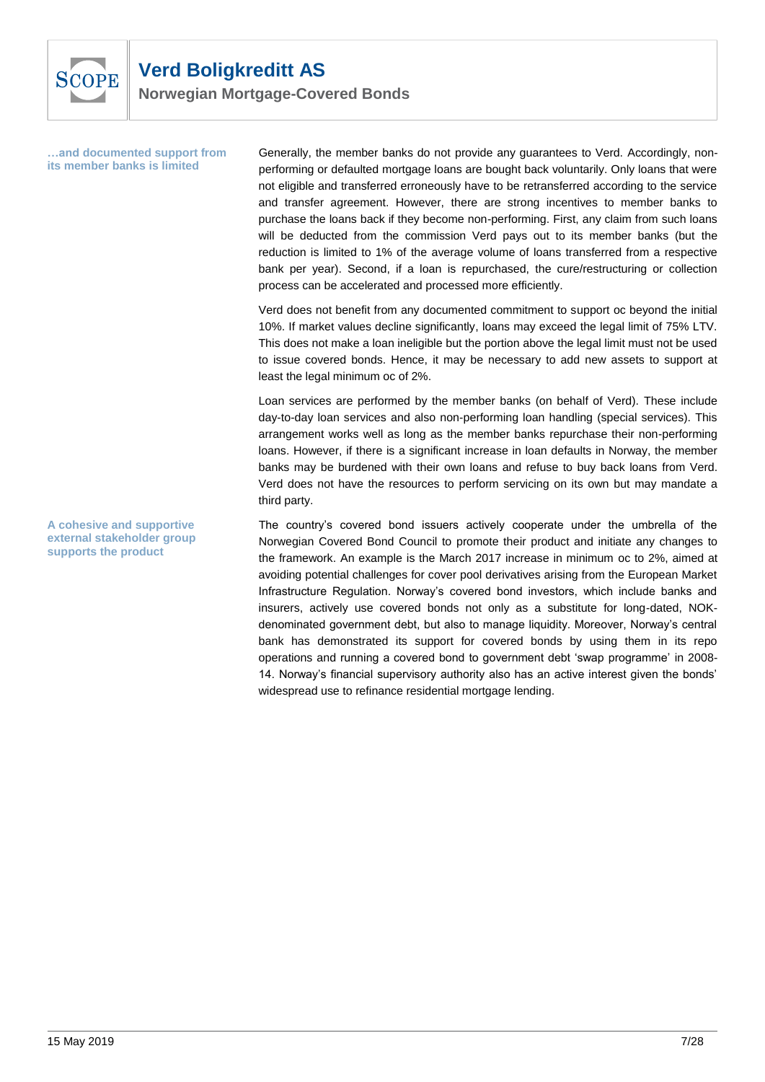

**Norwegian Mortgage-Covered Bonds**

**…and documented support from its member banks is limited**

Generally, the member banks do not provide any guarantees to Verd. Accordingly, nonperforming or defaulted mortgage loans are bought back voluntarily. Only loans that were not eligible and transferred erroneously have to be retransferred according to the service and transfer agreement. However, there are strong incentives to member banks to purchase the loans back if they become non-performing. First, any claim from such loans will be deducted from the commission Verd pays out to its member banks (but the reduction is limited to 1% of the average volume of loans transferred from a respective bank per year). Second, if a loan is repurchased, the cure/restructuring or collection process can be accelerated and processed more efficiently.

Verd does not benefit from any documented commitment to support oc beyond the initial 10%. If market values decline significantly, loans may exceed the legal limit of 75% LTV. This does not make a loan ineligible but the portion above the legal limit must not be used to issue covered bonds. Hence, it may be necessary to add new assets to support at least the legal minimum oc of 2%.

Loan services are performed by the member banks (on behalf of Verd). These include day-to-day loan services and also non-performing loan handling (special services). This arrangement works well as long as the member banks repurchase their non-performing loans. However, if there is a significant increase in loan defaults in Norway, the member banks may be burdened with their own loans and refuse to buy back loans from Verd. Verd does not have the resources to perform servicing on its own but may mandate a third party.

The country's covered bond issuers actively cooperate under the umbrella of the Norwegian Covered Bond Council to promote their product and initiate any changes to the framework. An example is the March 2017 increase in minimum oc to 2%, aimed at avoiding potential challenges for cover pool derivatives arising from the European Market Infrastructure Regulation. Norway's covered bond investors, which include banks and insurers, actively use covered bonds not only as a substitute for long-dated, NOKdenominated government debt, but also to manage liquidity. Moreover, Norway's central bank has demonstrated its support for covered bonds by using them in its repo operations and running a covered bond to government debt 'swap programme' in 2008- 14. Norway's financial supervisory authority also has an active interest given the bonds' widespread use to refinance residential mortgage lending.

**A cohesive and supportive external stakeholder group supports the product**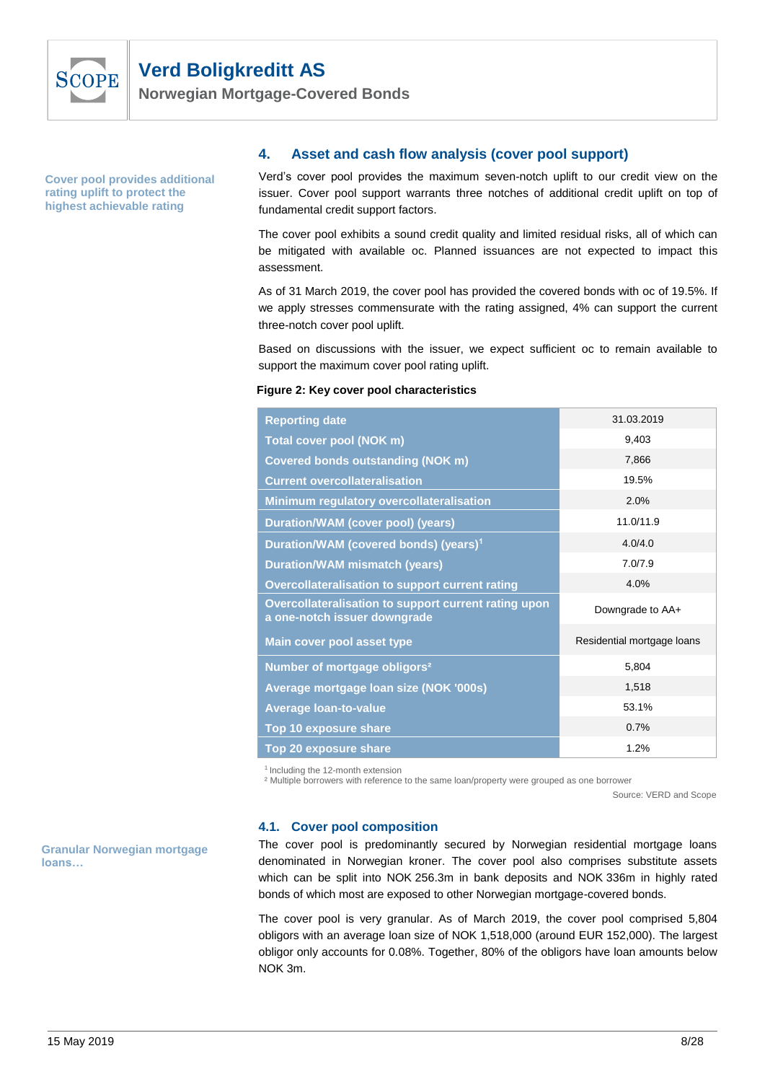

**Norwegian Mortgage-Covered Bonds**

<span id="page-7-0"></span>**Cover pool provides additional rating uplift to protect the highest achievable rating**

#### **4. Asset and cash flow analysis (cover pool support)**

Verd's cover pool provides the maximum seven-notch uplift to our credit view on the issuer. Cover pool support warrants three notches of additional credit uplift on top of fundamental credit support factors.

The cover pool exhibits a sound credit quality and limited residual risks, all of which can be mitigated with available oc. Planned issuances are not expected to impact this assessment.

As of 31 March 2019, the cover pool has provided the covered bonds with oc of 19.5%. If we apply stresses commensurate with the rating assigned, 4% can support the current three-notch cover pool uplift.

Based on discussions with the issuer, we expect sufficient oc to remain available to support the maximum cover pool rating uplift.

#### **Figure 2: Key cover pool characteristics**

| <b>Reporting date</b>                                                                | 31.03.2019                 |
|--------------------------------------------------------------------------------------|----------------------------|
| <b>Total cover pool (NOK m)</b>                                                      | 9,403                      |
| <b>Covered bonds outstanding (NOK m)</b>                                             | 7,866                      |
| <b>Current overcollateralisation</b>                                                 | 19.5%                      |
| <b>Minimum regulatory overcollateralisation</b>                                      | 2.0%                       |
| <b>Duration/WAM (cover pool) (years)</b>                                             | 11.0/11.9                  |
| Duration/WAM (covered bonds) (years) <sup>1</sup>                                    | 4.0/4.0                    |
| <b>Duration/WAM mismatch (years)</b>                                                 | 7.0/7.9                    |
| <b>Overcollateralisation to support current rating</b>                               | 4.0%                       |
| Overcollateralisation to support current rating upon<br>a one-notch issuer downgrade | Downgrade to AA+           |
| <b>Main cover pool asset type</b>                                                    | Residential mortgage loans |
| Number of mortgage obligors <sup>2</sup>                                             | 5,804                      |
| Average mortgage Ioan size (NOK '000s)                                               | 1,518                      |
| <b>Average loan-to-value</b>                                                         | 53.1%                      |
| Top 10 exposure share                                                                | 0.7%                       |
| <b>Top 20 exposure share</b>                                                         | 1.2%                       |

1 Including the 12-month extension

² Multiple borrowers with reference to the same loan/property were grouped as one borrower

Source: VERD and Scope

#### **4.1. Cover pool composition**

The cover pool is predominantly secured by Norwegian residential mortgage loans denominated in Norwegian kroner. The cover pool also comprises substitute assets which can be split into NOK 256.3m in bank deposits and NOK 336m in highly rated bonds of which most are exposed to other Norwegian mortgage-covered bonds.

The cover pool is very granular. As of March 2019, the cover pool comprised 5,804 obligors with an average loan size of NOK 1,518,000 (around EUR 152,000). The largest obligor only accounts for 0.08%. Together, 80% of the obligors have loan amounts below NOK 3m.

**Granular Norwegian mortgage loans…**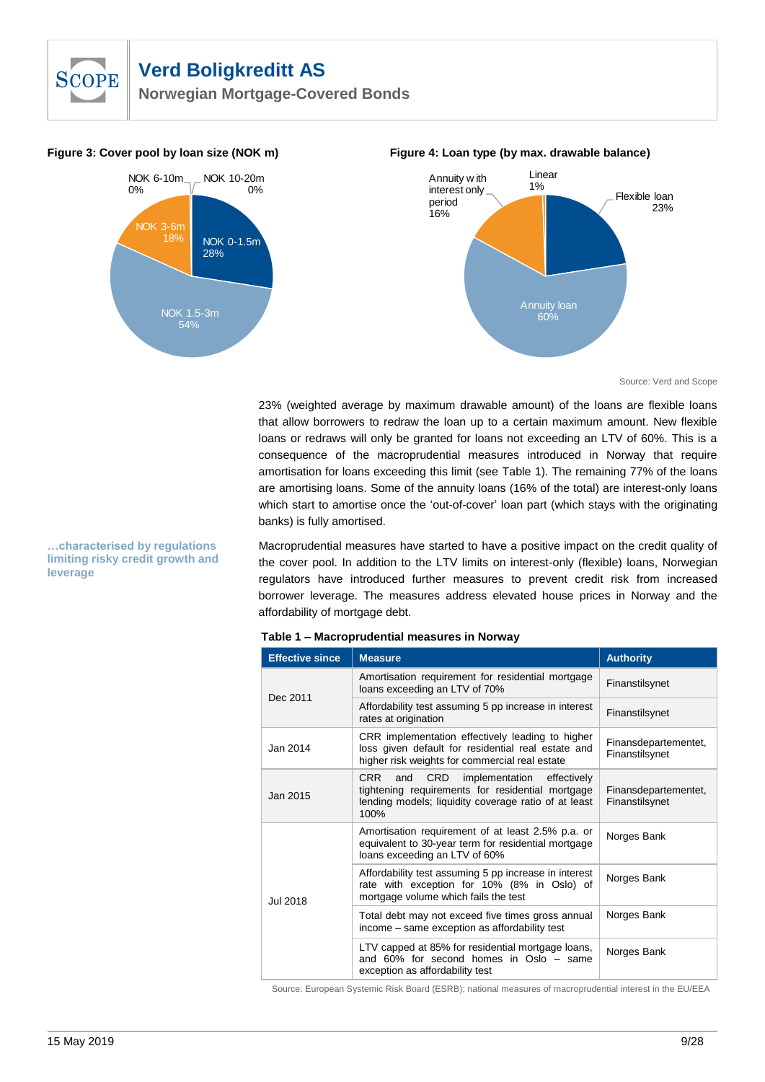

**Norwegian Mortgage-Covered Bonds**



#### **Figure 3: Cover pool by loan size (NOK m) Figure 4: Loan type (by max. drawable balance)**



Source: Verd and Scope

23% (weighted average by maximum drawable amount) of the loans are flexible loans that allow borrowers to redraw the loan up to a certain maximum amount. New flexible loans or redraws will only be granted for loans not exceeding an LTV of 60%. This is a consequence of the macroprudential measures introduced in Norway that require amortisation for loans exceeding this limit (see [Table 1\)](#page-8-0). The remaining 77% of the loans are amortising loans. Some of the annuity loans (16% of the total) are interest-only loans which start to amortise once the 'out-of-cover' loan part (which stays with the originating banks) is fully amortised.

Macroprudential measures have started to have a positive impact on the credit quality of the cover pool. In addition to the LTV limits on interest-only (flexible) loans, Norwegian regulators have introduced further measures to prevent credit risk from increased borrower leverage. The measures address elevated house prices in Norway and the affordability of mortgage debt.

| <b>Effective since</b> | <b>Measure</b>                                                                                                                                                             | <b>Authority</b>                       |
|------------------------|----------------------------------------------------------------------------------------------------------------------------------------------------------------------------|----------------------------------------|
| Dec 2011               | Amortisation requirement for residential mortgage<br>loans exceeding an LTV of 70%                                                                                         | Finanstilsynet                         |
|                        | Affordability test assuming 5 pp increase in interest<br>rates at origination                                                                                              | Finanstilsynet                         |
| Jan 2014               | CRR implementation effectively leading to higher<br>loss given default for residential real estate and<br>higher risk weights for commercial real estate                   | Finansdepartementet,<br>Finanstilsynet |
| Jan 2015               | CRR<br><b>CRD</b><br>implementation effectively<br>and<br>tightening requirements for residential mortgage<br>lending models; liquidity coverage ratio of at least<br>100% | Finansdepartementet,<br>Finanstilsynet |
| Jul 2018               | Amortisation requirement of at least 2.5% p.a. or<br>equivalent to 30-year term for residential mortgage<br>loans exceeding an LTV of 60%                                  | Norges Bank                            |
|                        | Affordability test assuming 5 pp increase in interest<br>rate with exception for 10% (8% in Oslo) of<br>mortgage volume which fails the test                               | Norges Bank                            |
|                        | Total debt may not exceed five times gross annual<br>income – same exception as affordability test                                                                         | Norges Bank                            |
|                        | LTV capped at 85% for residential mortgage loans,<br>and 60% for second homes in Oslo – same<br>exception as affordability test                                            | Norges Bank                            |

#### <span id="page-8-0"></span>**Table 1 – Macroprudential measures in Norway**

Source: European Systemic Risk Board (ESRB); national measures of macroprudential interest in the EU/EEA

**…characterised by regulations limiting risky credit growth and leverage**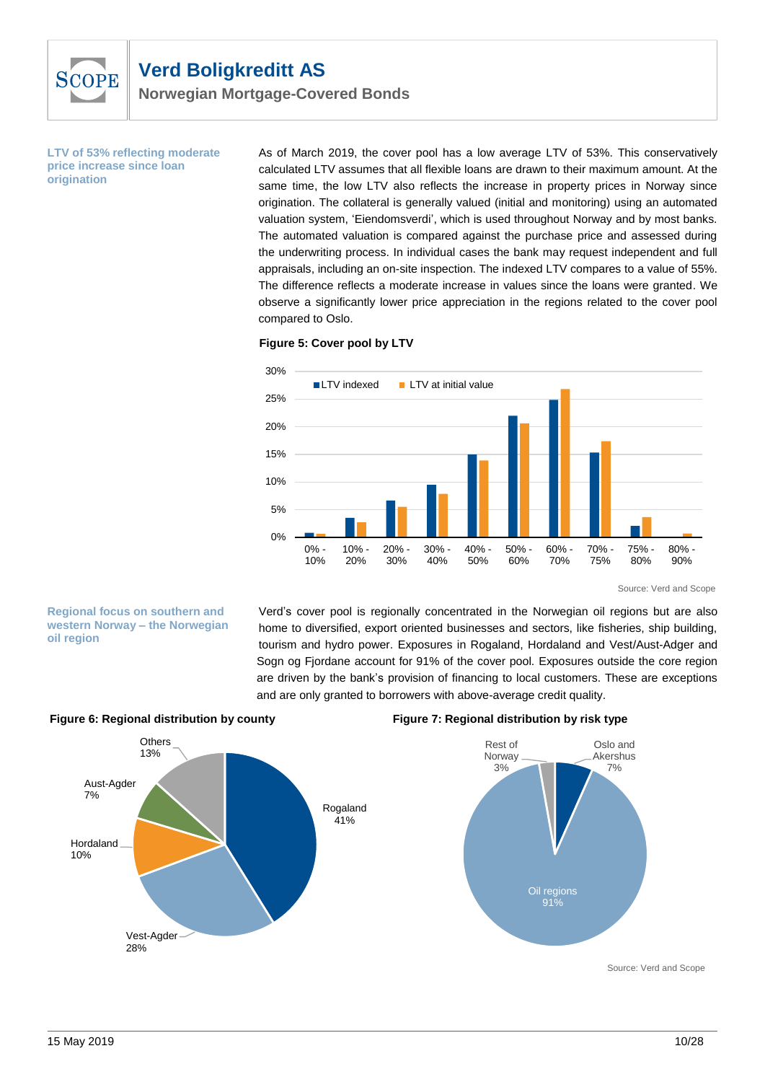

**LTV of 53% reflecting moderate price increase since loan origination**

As of March 2019, the cover pool has a low average LTV of 53%. This conservatively calculated LTV assumes that all flexible loans are drawn to their maximum amount. At the same time, the low LTV also reflects the increase in property prices in Norway since origination. The collateral is generally valued (initial and monitoring) using an automated valuation system, 'Eiendomsverdi', which is used throughout Norway and by most banks. The automated valuation is compared against the purchase price and assessed during the underwriting process. In individual cases the bank may request independent and full appraisals, including an on-site inspection. The indexed LTV compares to a value of 55%. The difference reflects a moderate increase in values since the loans were granted. We observe a significantly lower price appreciation in the regions related to the cover pool compared to Oslo.





Source: Verd and Scope

**Regional focus on southern and western Norway – the Norwegian oil region** 

Verd's cover pool is regionally concentrated in the Norwegian oil regions but are also home to diversified, export oriented businesses and sectors, like fisheries, ship building, tourism and hydro power. Exposures in Rogaland, Hordaland and Vest/Aust-Adger and Sogn og Fjordane account for 91% of the cover pool. Exposures outside the core region are driven by the bank's provision of financing to local customers. These are exceptions and are only granted to borrowers with above-average credit quality.



#### **Figure 6: Regional distribution by county Figure 7: Regional distribution by risk type**



Source: Verd and Scope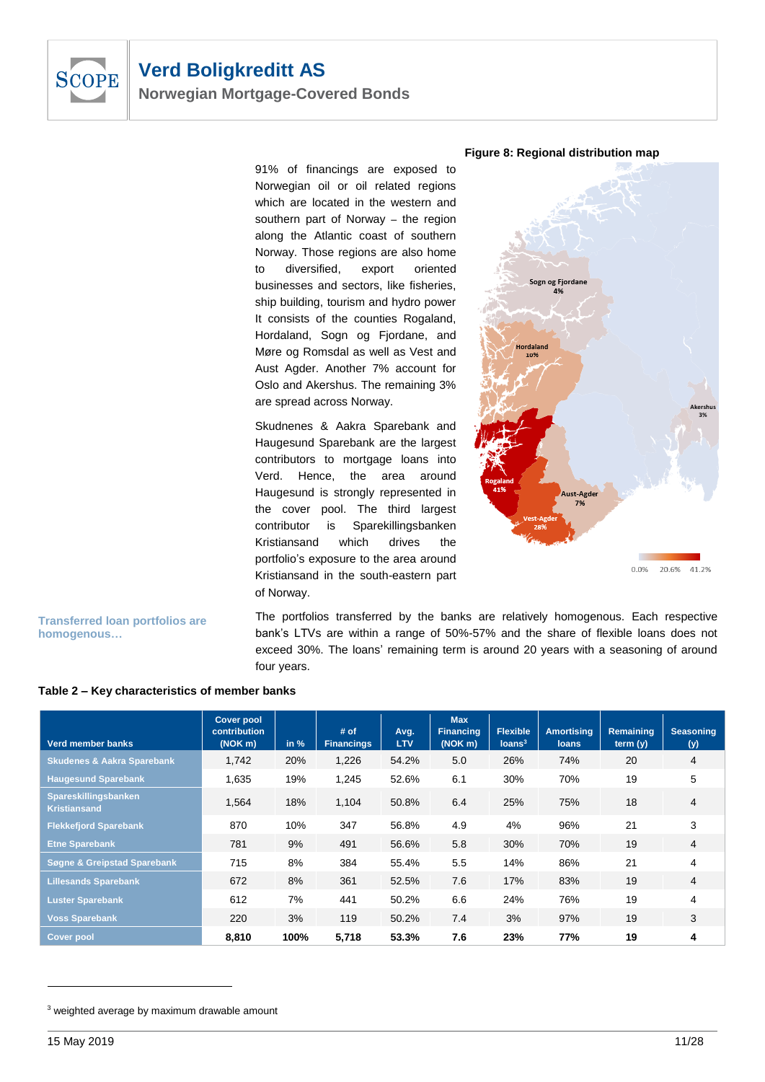

91% of financings are exposed to Norwegian oil or oil related regions which are located in the western and southern part of Norway – the region along the Atlantic coast of southern Norway. Those regions are also home to diversified, export oriented businesses and sectors, like fisheries, ship building, tourism and hydro power It consists of the counties Rogaland, Hordaland, Sogn og Fjordane, and Møre og Romsdal as well as Vest and Aust Agder. Another 7% account for Oslo and Akershus. The remaining 3% are spread across Norway.

Skudnenes & Aakra Sparebank and Haugesund Sparebank are the largest contributors to mortgage loans into Verd. Hence, the area around Haugesund is strongly represented in the cover pool. The third largest contributor is Sparekillingsbanken Kristiansand which drives the portfolio's exposure to the area around Kristiansand in the south-eastern part of Norway.





**Transferred loan portfolios are homogenous…**

The portfolios transferred by the banks are relatively homogenous. Each respective bank's LTVs are within a range of 50%-57% and the share of flexible loans does not exceed 30%. The loans' remaining term is around 20 years with a seasoning of around four years.

| Verd member banks                           | <b>Cover pool</b><br>contribution<br>(NOK m) | in % | # of<br><b>Financings</b> | Avg.<br><b>LTV</b> | <b>Max</b><br><b>Financing</b><br>(NOK <sub>m</sub> ) | <b>Flexible</b><br>Ioans <sup>3</sup> | <b>Amortising</b><br><b>loans</b> | <b>Remaining</b><br>term (y) | <b>Seasoning</b><br>(y) |
|---------------------------------------------|----------------------------------------------|------|---------------------------|--------------------|-------------------------------------------------------|---------------------------------------|-----------------------------------|------------------------------|-------------------------|
| <b>Skudenes &amp; Aakra Sparebank</b>       | 1,742                                        | 20%  | 1,226                     | 54.2%              | 5.0                                                   | 26%                                   | 74%                               | 20                           | 4                       |
| <b>Haugesund Sparebank</b>                  | 1,635                                        | 19%  | 1,245                     | 52.6%              | 6.1                                                   | 30%                                   | 70%                               | 19                           | 5                       |
| Spareskillingsbanken<br><b>Kristiansand</b> | 1,564                                        | 18%  | 1,104                     | 50.8%              | 6.4                                                   | 25%                                   | 75%                               | 18                           | $\overline{4}$          |
| <b>Flekkefjord Sparebank</b>                | 870                                          | 10%  | 347                       | 56.8%              | 4.9                                                   | 4%                                    | 96%                               | 21                           | 3                       |
| <b>Etne Sparebank</b>                       | 781                                          | 9%   | 491                       | 56.6%              | 5.8                                                   | 30%                                   | 70%                               | 19                           | 4                       |
| Søgne & Greipstad Sparebank                 | 715                                          | 8%   | 384                       | 55.4%              | 5.5                                                   | 14%                                   | 86%                               | 21                           | 4                       |
| <b>Lillesands Sparebank</b>                 | 672                                          | 8%   | 361                       | 52.5%              | 7.6                                                   | 17%                                   | 83%                               | 19                           | 4                       |
| <b>Luster Sparebank</b>                     | 612                                          | 7%   | 441                       | 50.2%              | 6.6                                                   | 24%                                   | 76%                               | 19                           | 4                       |
| <b>Voss Sparebank</b>                       | 220                                          | 3%   | 119                       | 50.2%              | 7.4                                                   | 3%                                    | 97%                               | 19                           | 3                       |
| Cover pool                                  | 8.810                                        | 100% | 5,718                     | 53.3%              | 7.6                                                   | 23%                                   | 77%                               | 19                           | 4                       |

#### **Table 2 – Key characteristics of member banks**

<sup>&</sup>lt;sup>3</sup> weighted average by maximum drawable amount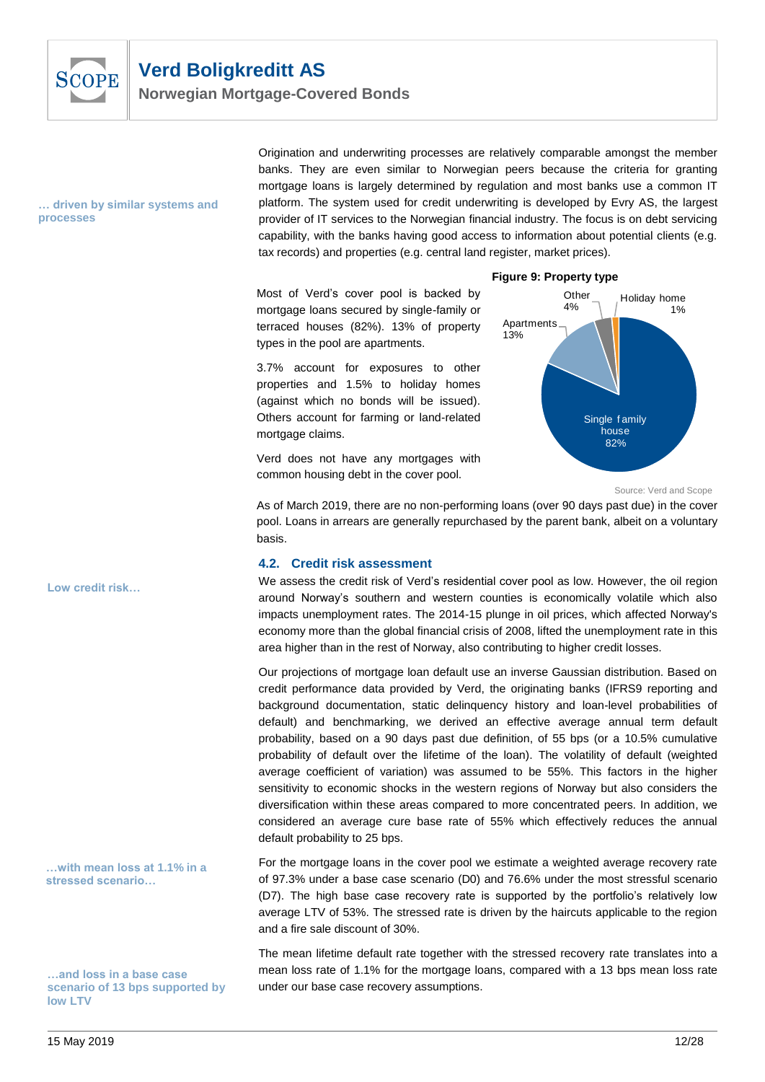

**Norwegian Mortgage-Covered Bonds**

#### **… driven by similar systems and processes**

Origination and underwriting processes are relatively comparable amongst the member banks. They are even similar to Norwegian peers because the criteria for granting mortgage loans is largely determined by regulation and most banks use a common IT platform. The system used for credit underwriting is developed by Evry AS, the largest provider of IT services to the Norwegian financial industry. The focus is on debt servicing capability, with the banks having good access to information about potential clients (e.g. tax records) and properties (e.g. central land register, market prices).

Most of Verd's cover pool is backed by mortgage loans secured by single-family or terraced houses (82%). 13% of property types in the pool are apartments.

3.7% account for exposures to other properties and 1.5% to holiday homes (against which no bonds will be issued). Others account for farming or land-related mortgage claims.

Verd does not have any mortgages with common housing debt in the cover pool.

#### **Figure 9: Property type**



Source: Verd and Scope

As of March 2019, there are no non-performing loans (over 90 days past due) in the cover pool. Loans in arrears are generally repurchased by the parent bank, albeit on a voluntary basis.

#### **4.2. Credit risk assessment**

We assess the credit risk of Verd's residential cover pool as low. However, the oil region around Norway's southern and western counties is economically volatile which also impacts unemployment rates. The 2014-15 plunge in oil prices, which affected Norway's economy more than the global financial crisis of 2008, lifted the unemployment rate in this area higher than in the rest of Norway, also contributing to higher credit losses.

Our projections of mortgage loan default use an inverse Gaussian distribution. Based on credit performance data provided by Verd, the originating banks (IFRS9 reporting and background documentation, static delinquency history and loan-level probabilities of default) and benchmarking, we derived an effective average annual term default probability, based on a 90 days past due definition, of 55 bps (or a 10.5% cumulative probability of default over the lifetime of the loan). The volatility of default (weighted average coefficient of variation) was assumed to be 55%. This factors in the higher sensitivity to economic shocks in the western regions of Norway but also considers the diversification within these areas compared to more concentrated peers. In addition, we considered an average cure base rate of 55% which effectively reduces the annual default probability to 25 bps.

For the mortgage loans in the cover pool we estimate a weighted average recovery rate of 97.3% under a base case scenario (D0) and 76.6% under the most stressful scenario (D7). The high base case recovery rate is supported by the portfolio's relatively low average LTV of 53%. The stressed rate is driven by the haircuts applicable to the region and a fire sale discount of 30%.

The mean lifetime default rate together with the stressed recovery rate translates into a mean loss rate of 1.1% for the mortgage loans, compared with a 13 bps mean loss rate under our base case recovery assumptions.

**Low credit risk…**

**…with mean loss at 1.1% in a stressed scenario…**

**…and loss in a base case scenario of 13 bps supported by low LTV**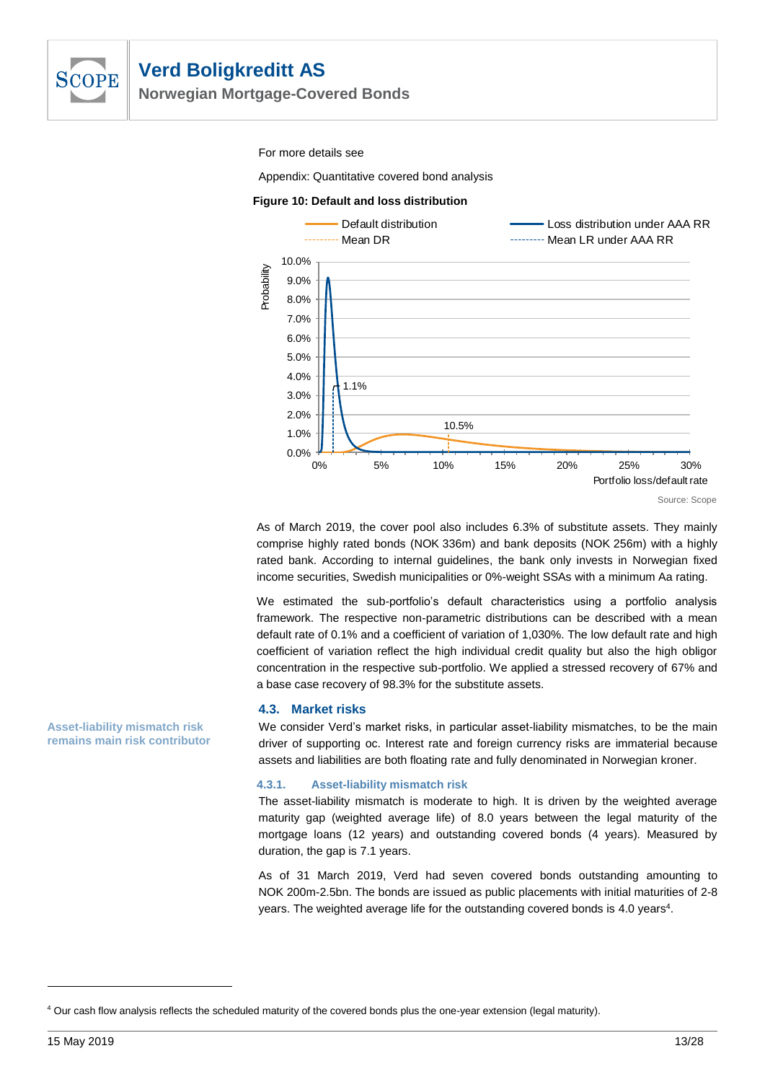

**Norwegian Mortgage-Covered Bonds**

For more details see

[Appendix: Quantitative covered bond analysis](#page-16-4)

#### **Figure 10: Default and loss distribution**



As of March 2019, the cover pool also includes 6.3% of substitute assets. They mainly comprise highly rated bonds (NOK 336m) and bank deposits (NOK 256m) with a highly rated bank. According to internal guidelines, the bank only invests in Norwegian fixed income securities, Swedish municipalities or 0%-weight SSAs with a minimum Aa rating.

We estimated the sub-portfolio's default characteristics using a portfolio analysis framework. The respective non-parametric distributions can be described with a mean default rate of 0.1% and a coefficient of variation of 1,030%. The low default rate and high coefficient of variation reflect the high individual credit quality but also the high obligor concentration in the respective sub-portfolio. We applied a stressed recovery of 67% and a base case recovery of 98.3% for the substitute assets.

#### **4.3. Market risks**

We consider Verd's market risks, in particular asset-liability mismatches, to be the main driver of supporting oc. Interest rate and foreign currency risks are immaterial because assets and liabilities are both floating rate and fully denominated in Norwegian kroner.

#### **4.3.1. Asset-liability mismatch risk**

The asset-liability mismatch is moderate to high. It is driven by the weighted average maturity gap (weighted average life) of 8.0 years between the legal maturity of the mortgage loans (12 years) and outstanding covered bonds (4 years). Measured by duration, the gap is 7.1 years.

As of 31 March 2019, Verd had seven covered bonds outstanding amounting to NOK 200m-2.5bn. The bonds are issued as public placements with initial maturities of 2-8 years. The weighted average life for the outstanding covered bonds is 4.0 years<sup>4</sup>.

15 May 2019 13/28

**Asset-liability mismatch risk remains main risk contributor**

<sup>4</sup> Our cash flow analysis reflects the scheduled maturity of the covered bonds plus the one-year extension (legal maturity).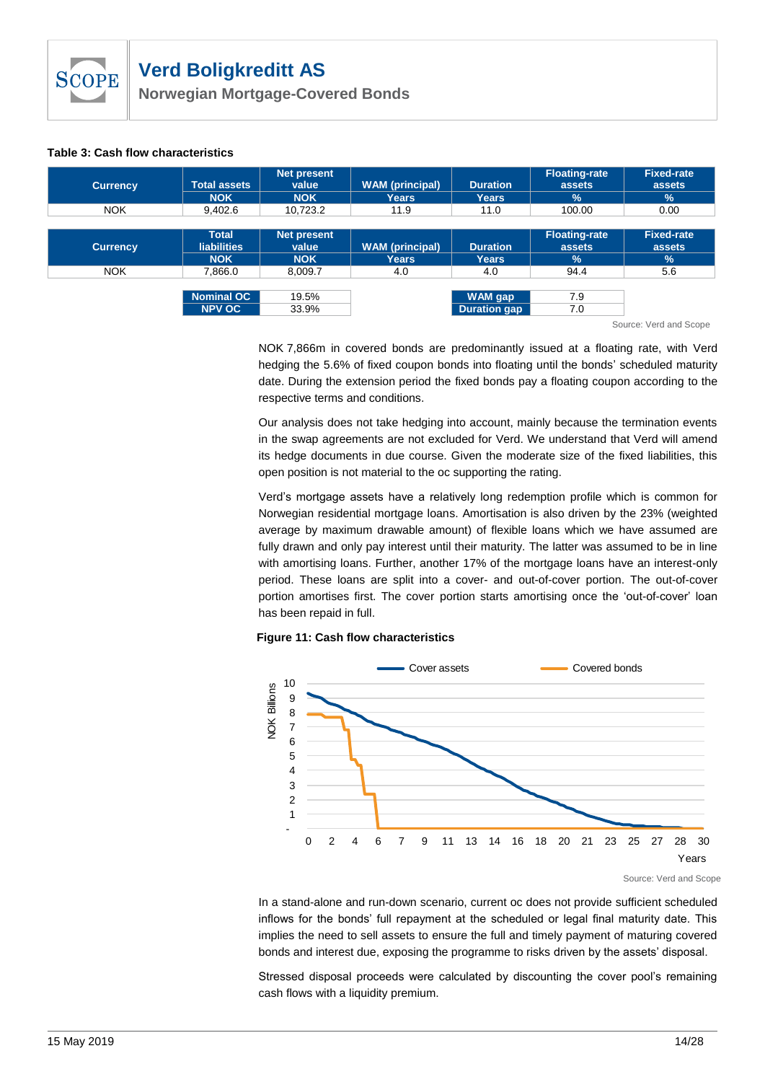**Norwegian Mortgage-Covered Bonds**

#### **Table 3: Cash flow characteristics**

| <b>Currency</b> | <b>Total assets</b><br><b>NOK</b>                | <b>Net present</b><br>value<br><b>NOK</b> | <b>WAM</b> (principal)<br><b>Years</b> | <b>Duration</b><br><b>Years</b> | <b>Floating-rate</b><br>assets<br>$\frac{9}{6}$ | <b>Fixed-rate</b><br>assets<br>$\frac{9}{6}$ |
|-----------------|--------------------------------------------------|-------------------------------------------|----------------------------------------|---------------------------------|-------------------------------------------------|----------------------------------------------|
| <b>NOK</b>      | 9.402.6                                          | 10.723.2                                  | 11.9                                   | 11.0                            | 100.00                                          | 0.00                                         |
|                 |                                                  |                                           |                                        |                                 |                                                 |                                              |
| <b>Currency</b> | <b>Total</b><br><b>liabilities</b><br><b>NOK</b> | <b>Net present</b><br>value<br><b>NOK</b> | <b>WAM</b> (principal)<br>Years        | <b>Duration</b><br><b>Years</b> | <b>Floating-rate</b><br>assets<br>$\frac{9}{6}$ | <b>Fixed-rate</b><br>assets<br>$\frac{9}{6}$ |
| <b>NOK</b>      | 7,866.0                                          | 8,009.7                                   | 4.0                                    | 4.0                             | 94.4                                            | 5.6                                          |
|                 | <b>Nominal OC</b><br><b>NPV OC</b>               | 19.5%<br>33.9%                            |                                        | WAM gap<br><b>Duration gap</b>  | 7.9<br>7.0<br>$\sim$                            | $\cdots$                                     |

Source: Verd and Scope

NOK 7,866m in covered bonds are predominantly issued at a floating rate, with Verd hedging the 5.6% of fixed coupon bonds into floating until the bonds' scheduled maturity date. During the extension period the fixed bonds pay a floating coupon according to the respective terms and conditions.

Our analysis does not take hedging into account, mainly because the termination events in the swap agreements are not excluded for Verd. We understand that Verd will amend its hedge documents in due course. Given the moderate size of the fixed liabilities, this open position is not material to the oc supporting the rating.

Verd's mortgage assets have a relatively long redemption profile which is common for Norwegian residential mortgage loans. Amortisation is also driven by the 23% (weighted average by maximum drawable amount) of flexible loans which we have assumed are fully drawn and only pay interest until their maturity. The latter was assumed to be in line with amortising loans. Further, another 17% of the mortgage loans have an interest-only period. These loans are split into a cover- and out-of-cover portion. The out-of-cover portion amortises first. The cover portion starts amortising once the 'out-of-cover' loan has been repaid in full.





In a stand-alone and run-down scenario, current oc does not provide sufficient scheduled inflows for the bonds' full repayment at the scheduled or legal final maturity date. This implies the need to sell assets to ensure the full and timely payment of maturing covered bonds and interest due, exposing the programme to risks driven by the assets' disposal.

Stressed disposal proceeds were calculated by discounting the cover pool's remaining cash flows with a liquidity premium.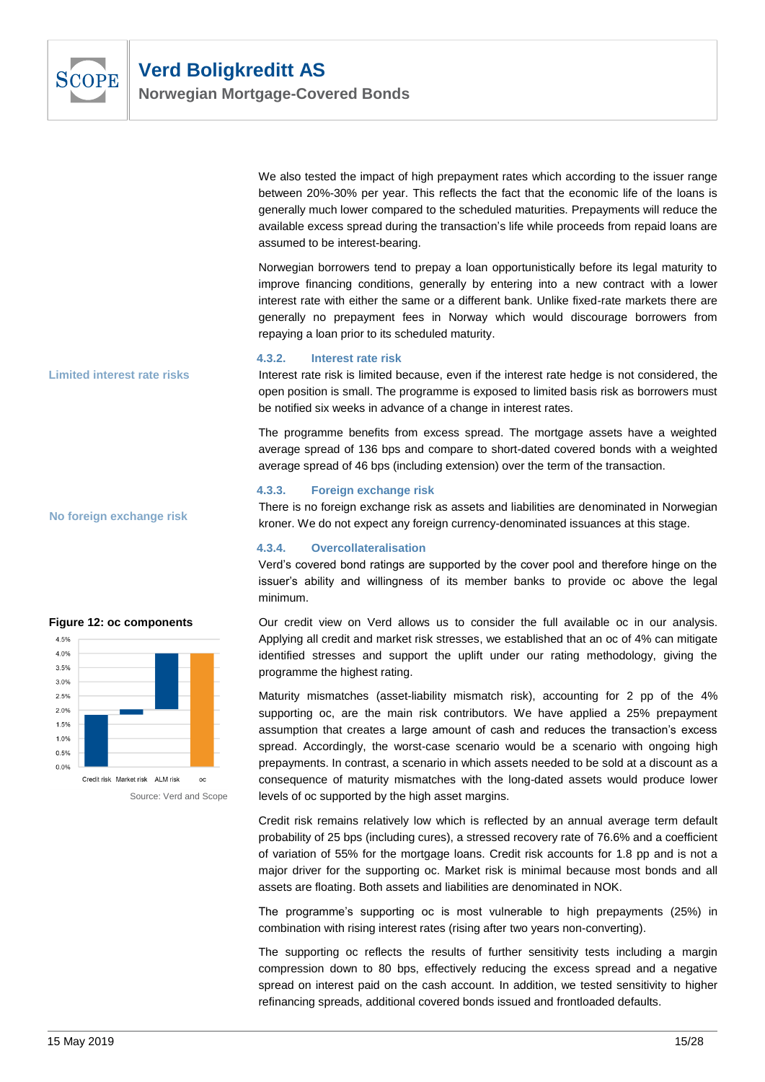

We also tested the impact of high prepayment rates which according to the issuer range between 20%-30% per year. This reflects the fact that the economic life of the loans is generally much lower compared to the scheduled maturities. Prepayments will reduce the available excess spread during the transaction's life while proceeds from repaid loans are assumed to be interest-bearing.

Norwegian borrowers tend to prepay a loan opportunistically before its legal maturity to improve financing conditions, generally by entering into a new contract with a lower interest rate with either the same or a different bank. Unlike fixed-rate markets there are generally no prepayment fees in Norway which would discourage borrowers from repaying a loan prior to its scheduled maturity.

#### **4.3.2. Interest rate risk**

Interest rate risk is limited because, even if the interest rate hedge is not considered, the open position is small. The programme is exposed to limited basis risk as borrowers must be notified six weeks in advance of a change in interest rates.

The programme benefits from excess spread. The mortgage assets have a weighted average spread of 136 bps and compare to short-dated covered bonds with a weighted average spread of 46 bps (including extension) over the term of the transaction.

#### **4.3.3. Foreign exchange risk**

There is no foreign exchange risk as assets and liabilities are denominated in Norwegian kroner. We do not expect any foreign currency-denominated issuances at this stage.

#### **4.3.4. Overcollateralisation**

Verd's covered bond ratings are supported by the cover pool and therefore hinge on the issuer's ability and willingness of its member banks to provide oc above the legal minimum.

Our credit view on Verd allows us to consider the full available oc in our analysis. Applying all credit and market risk stresses, we established that an oc of 4% can mitigate identified stresses and support the uplift under our rating methodology, giving the programme the highest rating.

Maturity mismatches (asset-liability mismatch risk), accounting for 2 pp of the 4% supporting oc, are the main risk contributors. We have applied a 25% prepayment assumption that creates a large amount of cash and reduces the transaction's excess spread. Accordingly, the worst-case scenario would be a scenario with ongoing high prepayments. In contrast, a scenario in which assets needed to be sold at a discount as a consequence of maturity mismatches with the long-dated assets would produce lower levels of oc supported by the high asset margins.

Credit risk remains relatively low which is reflected by an annual average term default probability of 25 bps (including cures), a stressed recovery rate of 76.6% and a coefficient of variation of 55% for the mortgage loans. Credit risk accounts for 1.8 pp and is not a major driver for the supporting oc. Market risk is minimal because most bonds and all assets are floating. Both assets and liabilities are denominated in NOK.

The programme's supporting oc is most vulnerable to high prepayments (25%) in combination with rising interest rates (rising after two years non-converting).

The supporting oc reflects the results of further sensitivity tests including a margin compression down to 80 bps, effectively reducing the excess spread and a negative spread on interest paid on the cash account. In addition, we tested sensitivity to higher refinancing spreads, additional covered bonds issued and frontloaded defaults.

**Limited interest rate risks**

**No foreign exchange risk**

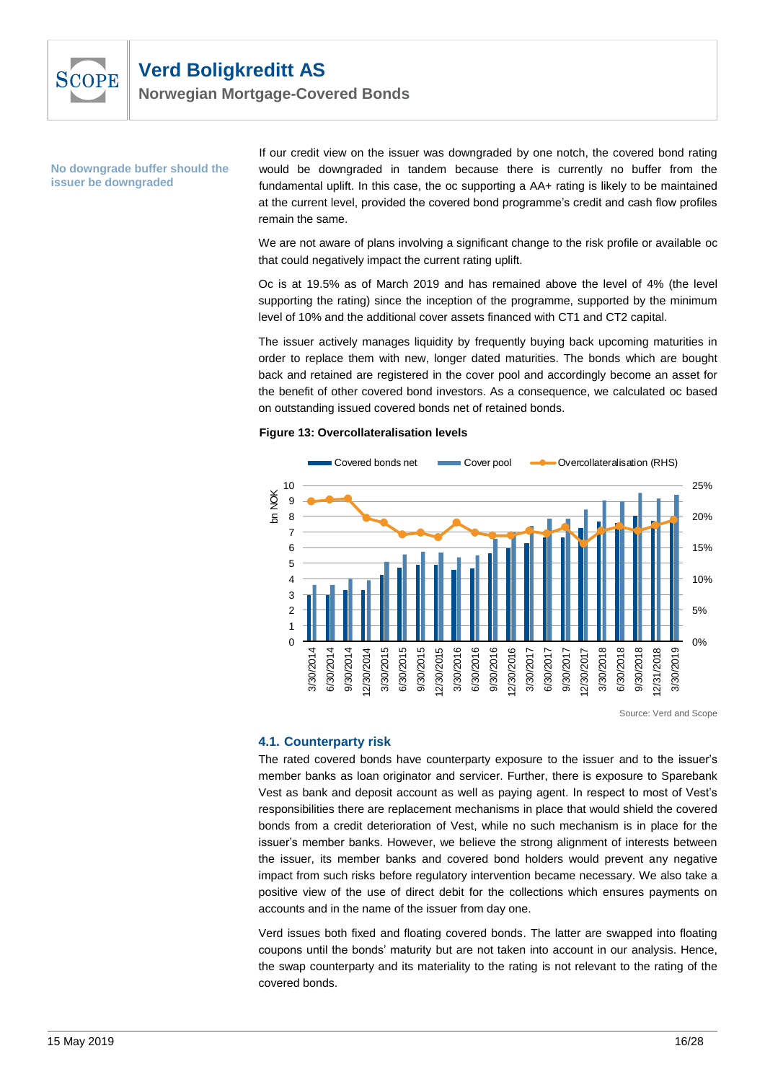<span id="page-15-0"></span>

**Norwegian Mortgage-Covered Bonds**

**No downgrade buffer should the issuer be downgraded**

If our credit view on the issuer was downgraded by one notch, the covered bond rating would be downgraded in tandem because there is currently no buffer from the fundamental uplift. In this case, the oc supporting a AA+ rating is likely to be maintained at the current level, provided the covered bond programme's credit and cash flow profiles remain the same.

We are not aware of plans involving a significant change to the risk profile or available oc that could negatively impact the current rating uplift.

Oc is at 19.5% as of March 2019 and has remained above the level of 4% (the level supporting the rating) since the inception of the programme, supported by the minimum level of 10% and the additional cover assets financed with CT1 and CT2 capital.

The issuer actively manages liquidity by frequently buying back upcoming maturities in order to replace them with new, longer dated maturities. The bonds which are bought back and retained are registered in the cover pool and accordingly become an asset for the benefit of other covered bond investors. As a consequence, we calculated oc based on outstanding issued covered bonds net of retained bonds.

#### **Figure 13: Overcollateralisation levels**



Source: Verd and Scope

#### **4.1. Counterparty risk**

The rated covered bonds have counterparty exposure to the issuer and to the issuer's member banks as loan originator and servicer. Further, there is exposure to Sparebank Vest as bank and deposit account as well as paying agent. In respect to most of Vest's responsibilities there are replacement mechanisms in place that would shield the covered bonds from a credit deterioration of Vest, while no such mechanism is in place for the issuer's member banks. However, we believe the strong alignment of interests between the issuer, its member banks and covered bond holders would prevent any negative impact from such risks before regulatory intervention became necessary. We also take a positive view of the use of direct debit for the collections which ensures payments on accounts and in the name of the issuer from day one.

Verd issues both fixed and floating covered bonds. The latter are swapped into floating coupons until the bonds' maturity but are not taken into account in our analysis. Hence, the swap counterparty and its materiality to the rating is not relevant to the rating of the covered bonds.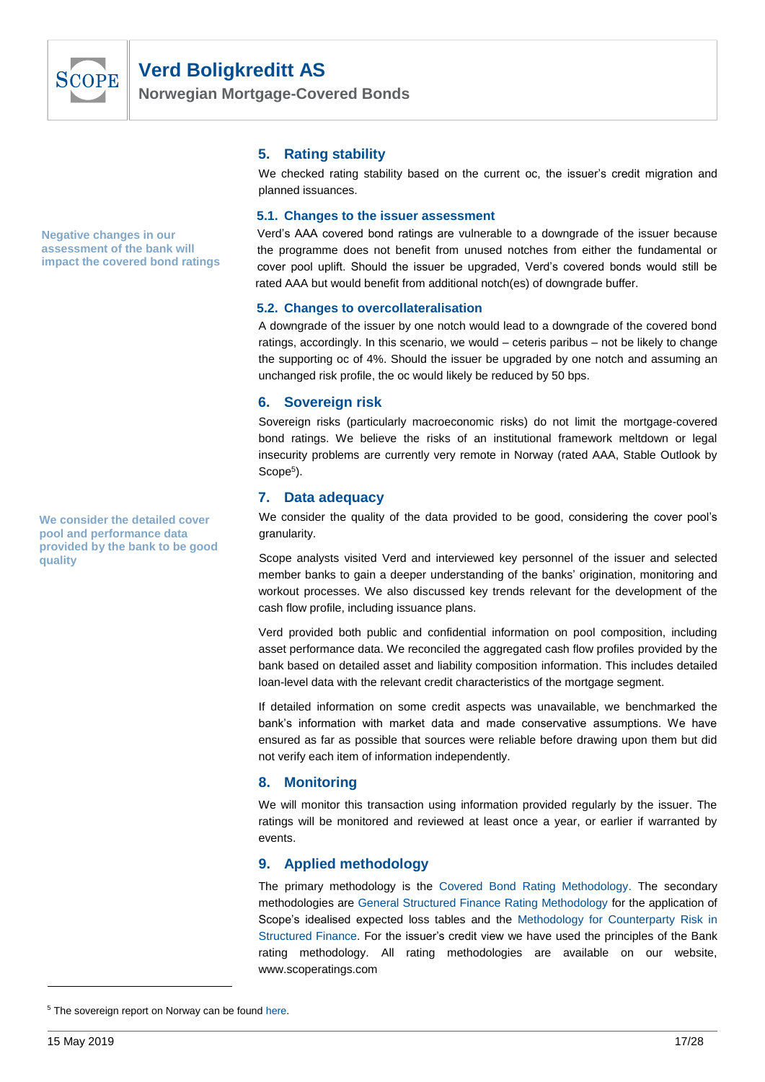

**Norwegian Mortgage-Covered Bonds**

**Negative changes in our assessment of the bank will impact the covered bond ratings**

<span id="page-16-1"></span><span id="page-16-0"></span>**We consider the detailed cover pool and performance data provided by the bank to be good quality**

#### **5. Rating stability**

We checked rating stability based on the current oc, the issuer's credit migration and planned issuances.

#### **5.1. Changes to the issuer assessment**

Verd's AAA covered bond ratings are vulnerable to a downgrade of the issuer because the programme does not benefit from unused notches from either the fundamental or cover pool uplift. Should the issuer be upgraded, Verd's covered bonds would still be rated AAA but would benefit from additional notch(es) of downgrade buffer.

#### **5.2. Changes to overcollateralisation**

A downgrade of the issuer by one notch would lead to a downgrade of the covered bond ratings, accordingly. In this scenario, we would – ceteris paribus – not be likely to change the supporting oc of 4%. Should the issuer be upgraded by one notch and assuming an unchanged risk profile, the oc would likely be reduced by 50 bps.

#### **6. Sovereign risk**

Sovereign risks (particularly macroeconomic risks) do not limit the mortgage-covered bond ratings. We believe the risks of an institutional framework meltdown or legal insecurity problems are currently very remote in Norway (rated AAA, Stable Outlook by Scope<sup>5</sup>).

#### **7. Data adequacy**

We consider the quality of the data provided to be good, considering the cover pool's granularity.

Scope analysts visited Verd and interviewed key personnel of the issuer and selected member banks to gain a deeper understanding of the banks' origination, monitoring and workout processes. We also discussed key trends relevant for the development of the cash flow profile, including issuance plans.

Verd provided both public and confidential information on pool composition, including asset performance data. We reconciled the aggregated cash flow profiles provided by the bank based on detailed asset and liability composition information. This includes detailed loan-level data with the relevant credit characteristics of the mortgage segment.

If detailed information on some credit aspects was unavailable, we benchmarked the bank's information with market data and made conservative assumptions. We have ensured as far as possible that sources were reliable before drawing upon them but did not verify each item of information independently.

### <span id="page-16-2"></span>**8. Monitoring**

We will monitor this transaction using information provided regularly by the issuer. The ratings will be monitored and reviewed at least once a year, or earlier if warranted by events.

### **9. Applied methodology**

<span id="page-16-4"></span>The primary methodology is the [Covered Bond Rating Methodology.](https://scoperatings.com/#methodology/list/1) The secondary methodologies are [General Structured Finance Rating Methodology](https://scoperatings.com/#methodology/list/3) for the application of Scope's idealised expected loss tables and the [Methodology for Counterparty Risk in](https://scoperatings.com/#methodology/list/3)  [Structured Finance.](https://scoperatings.com/#methodology/list/3) For the issuer's credit view we have used the principles of the Bank rating methodology. All rating methodologies are available on our website, www.scoperatings.com

<span id="page-16-3"></span><sup>&</sup>lt;sup>5</sup> The sovereign report on Norway can be found [here.](https://www.scoperatings.com/ScopeRatingsApi/api/downloadanalysis?id=e9d2d089-bf1d-4812-9acf-09f2358a463d)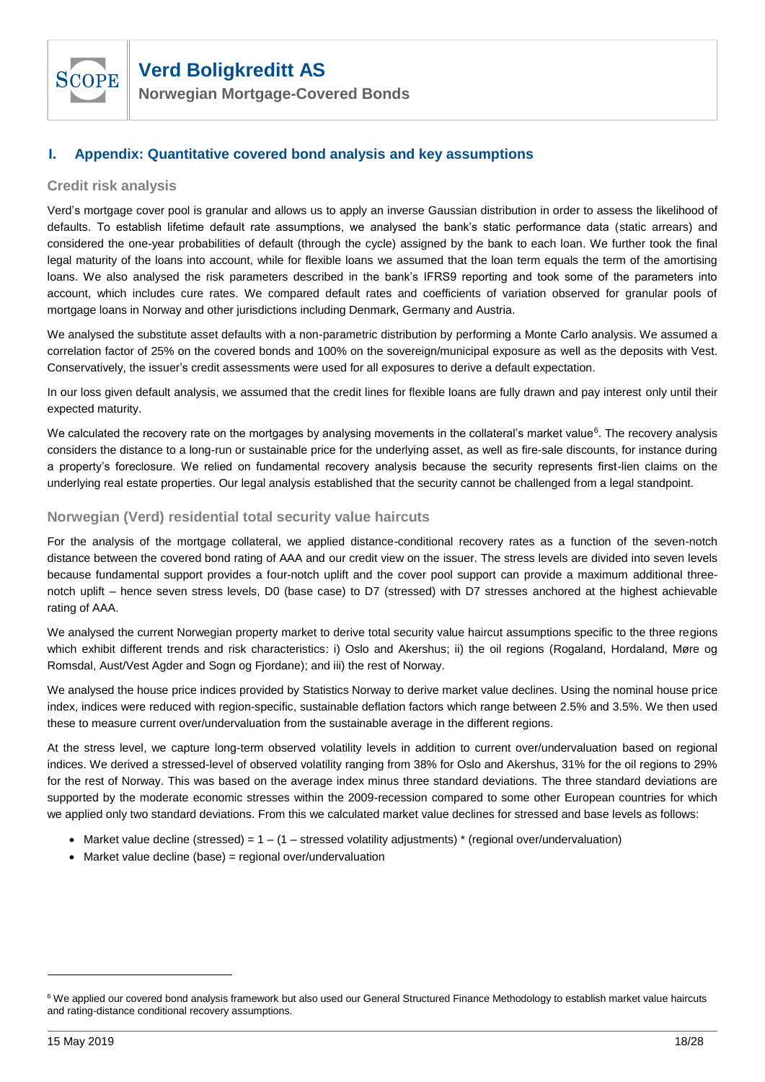

**Norwegian Mortgage-Covered Bonds**

### <span id="page-17-0"></span>**I. Appendix: Quantitative covered bond analysis and key assumptions**

#### **Credit risk analysis**

Verd's mortgage cover pool is granular and allows us to apply an inverse Gaussian distribution in order to assess the likelihood of defaults. To establish lifetime default rate assumptions, we analysed the bank's static performance data (static arrears) and considered the one-year probabilities of default (through the cycle) assigned by the bank to each loan. We further took the final legal maturity of the loans into account, while for flexible loans we assumed that the loan term equals the term of the amortising loans. We also analysed the risk parameters described in the bank's IFRS9 reporting and took some of the parameters into account, which includes cure rates. We compared default rates and coefficients of variation observed for granular pools of mortgage loans in Norway and other jurisdictions including Denmark, Germany and Austria.

We analysed the substitute asset defaults with a non-parametric distribution by performing a Monte Carlo analysis. We assumed a correlation factor of 25% on the covered bonds and 100% on the sovereign/municipal exposure as well as the deposits with Vest. Conservatively, the issuer's credit assessments were used for all exposures to derive a default expectation.

In our loss given default analysis, we assumed that the credit lines for flexible loans are fully drawn and pay interest only until their expected maturity.

We calculated the recovery rate on the mortgages by analysing movements in the collateral's market value<sup>6</sup>. The recovery analysis considers the distance to a long-run or sustainable price for the underlying asset, as well as fire-sale discounts, for instance during a property's foreclosure. We relied on fundamental recovery analysis because the security represents first-lien claims on the underlying real estate properties. Our legal analysis established that the security cannot be challenged from a legal standpoint.

#### **Norwegian (Verd) residential total security value haircuts**

For the analysis of the mortgage collateral, we applied distance-conditional recovery rates as a function of the seven-notch distance between the covered bond rating of AAA and our credit view on the issuer. The stress levels are divided into seven levels because fundamental support provides a four-notch uplift and the cover pool support can provide a maximum additional threenotch uplift – hence seven stress levels, D0 (base case) to D7 (stressed) with D7 stresses anchored at the highest achievable rating of AAA.

We analysed the current Norwegian property market to derive total security value haircut assumptions specific to the three regions which exhibit different trends and risk characteristics: i) Oslo and Akershus; ii) the oil regions (Rogaland, Hordaland, Møre og Romsdal, Aust/Vest Agder and Sogn og Fjordane); and iii) the rest of Norway.

We analysed the house price indices provided by Statistics Norway to derive market value declines. Using the nominal house price index, indices were reduced with region-specific, sustainable deflation factors which range between 2.5% and 3.5%. We then used these to measure current over/undervaluation from the sustainable average in the different regions.

At the stress level, we capture long-term observed volatility levels in addition to current over/undervaluation based on regional indices. We derived a stressed-level of observed volatility ranging from 38% for Oslo and Akershus, 31% for the oil regions to 29% for the rest of Norway. This was based on the average index minus three standard deviations. The three standard deviations are supported by the moderate economic stresses within the 2009-recession compared to some other European countries for which we applied only two standard deviations. From this we calculated market value declines for stressed and base levels as follows:

- Market value decline (stressed) =  $1 (1 -$  stressed volatility adjustments)  $*$  (regional over/undervaluation)
- Market value decline (base) = regional over/undervaluation

l

<sup>&</sup>lt;sup>6</sup> We applied our covered bond analysis framework but also used our General Structured Finance Methodology to establish market value haircuts and rating-distance conditional recovery assumptions.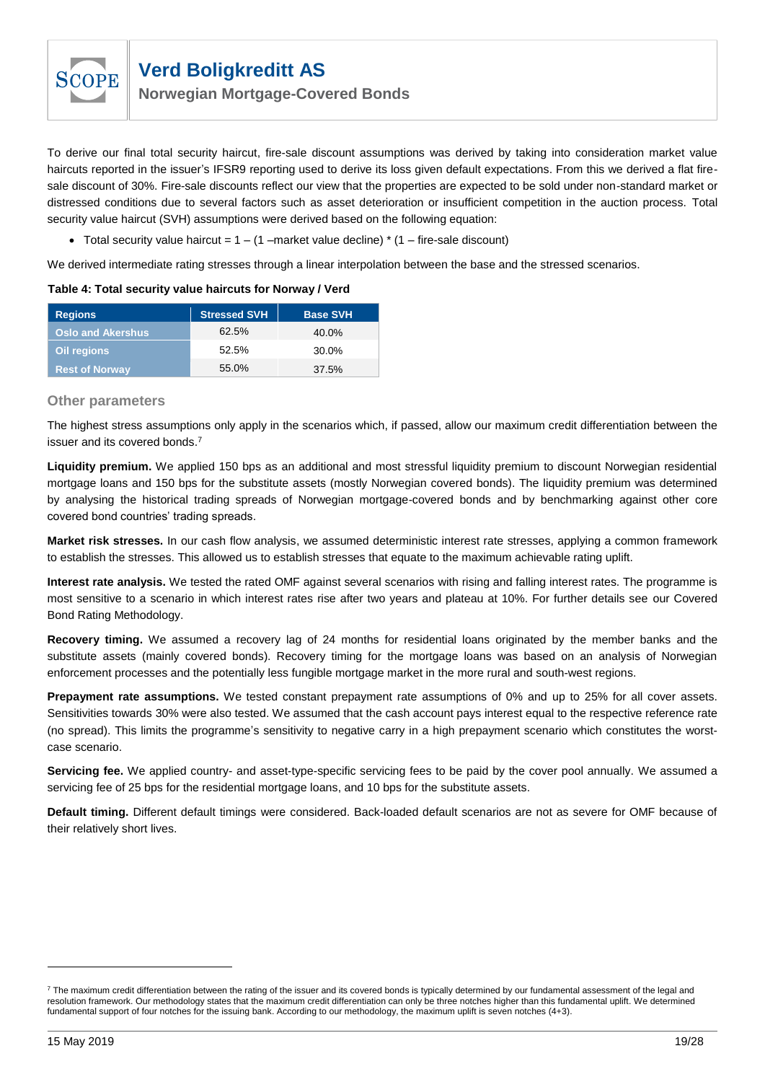

**Norwegian Mortgage-Covered Bonds**

To derive our final total security haircut, fire-sale discount assumptions was derived by taking into consideration market value haircuts reported in the issuer's IFSR9 reporting used to derive its loss given default expectations. From this we derived a flat firesale discount of 30%. Fire-sale discounts reflect our view that the properties are expected to be sold under non-standard market or distressed conditions due to several factors such as asset deterioration or insufficient competition in the auction process. Total security value haircut (SVH) assumptions were derived based on the following equation:

• Total security value haircut =  $1 - (1)$  –market value decline)  $*(1)$  – fire-sale discount)

We derived intermediate rating stresses through a linear interpolation between the base and the stressed scenarios.

| <b>Regions</b>           | <b>Stressed SVH</b> | <b>Base SVH</b> |
|--------------------------|---------------------|-----------------|
| <b>Oslo and Akershus</b> | 62.5%               | 40.0%           |
| Oil regions              | 52.5%               | 30.0%           |
| <b>Rest of Norway</b>    | 55.0%               | 37.5%           |

#### **Table 4: Total security value haircuts for Norway / Verd**

#### **Other parameters**

The highest stress assumptions only apply in the scenarios which, if passed, allow our maximum credit differentiation between the issuer and its covered bonds.<sup>7</sup>

**Liquidity premium.** We applied 150 bps as an additional and most stressful liquidity premium to discount Norwegian residential mortgage loans and 150 bps for the substitute assets (mostly Norwegian covered bonds). The liquidity premium was determined by analysing the historical trading spreads of Norwegian mortgage-covered bonds and by benchmarking against other core covered bond countries' trading spreads.

**Market risk stresses.** In our cash flow analysis, we assumed deterministic interest rate stresses, applying a common framework to establish the stresses. This allowed us to establish stresses that equate to the maximum achievable rating uplift.

**Interest rate analysis.** We tested the rated OMF against several scenarios with rising and falling interest rates. The programme is most sensitive to a scenario in which interest rates rise after two years and plateau at 10%. For further details see our Covered Bond Rating Methodology.

**Recovery timing.** We assumed a recovery lag of 24 months for residential loans originated by the member banks and the substitute assets (mainly covered bonds). Recovery timing for the mortgage loans was based on an analysis of Norwegian enforcement processes and the potentially less fungible mortgage market in the more rural and south-west regions.

**Prepayment rate assumptions.** We tested constant prepayment rate assumptions of 0% and up to 25% for all cover assets. Sensitivities towards 30% were also tested. We assumed that the cash account pays interest equal to the respective reference rate (no spread). This limits the programme's sensitivity to negative carry in a high prepayment scenario which constitutes the worstcase scenario.

**Servicing fee.** We applied country- and asset-type-specific servicing fees to be paid by the cover pool annually. We assumed a servicing fee of 25 bps for the residential mortgage loans, and 10 bps for the substitute assets.

**Default timing.** Different default timings were considered. Back-loaded default scenarios are not as severe for OMF because of their relatively short lives.

 $7$  The maximum credit differentiation between the rating of the issuer and its covered bonds is typically determined by our fundamental assessment of the legal and resolution framework. Our methodology states that the maximum credit differentiation can only be three notches higher than this fundamental uplift. We determined fundamental support of four notches for the issuing bank. According to our methodology, the maximum uplift is seven notches (4+3).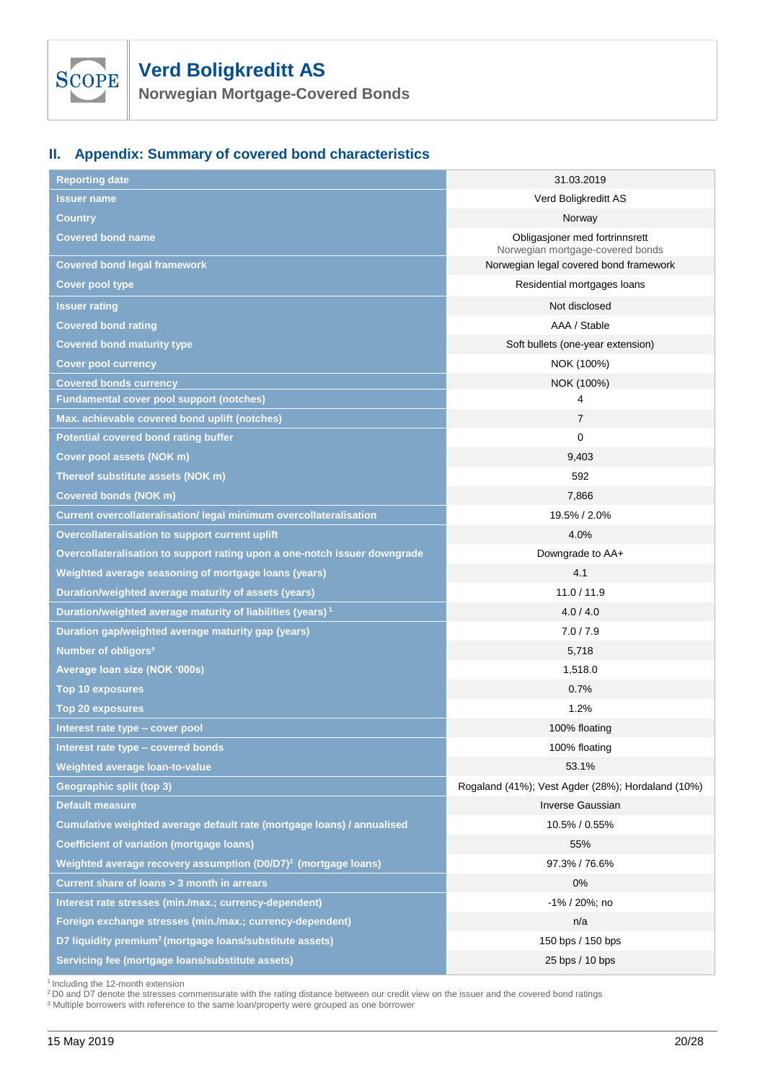

**Norwegian Mortgage-Covered Bonds**

# <span id="page-19-0"></span>**II. Appendix: Summary of covered bond characteristics**

| <b>Reporting date</b>                                                      | 31.03.2019                                                         |
|----------------------------------------------------------------------------|--------------------------------------------------------------------|
| <b>Issuer name</b>                                                         | Verd Boligkreditt AS                                               |
| Country                                                                    | Norway                                                             |
| <b>Covered bond name</b>                                                   | Obligasjoner med fortrinnsrett<br>Norwegian mortgage-covered bonds |
| <b>Covered bond legal framework</b>                                        | Norwegian legal covered bond framework                             |
| <b>Cover pool type</b>                                                     | Residential mortgages loans                                        |
| Issuer rating                                                              | Not disclosed                                                      |
| <b>Covered bond rating</b>                                                 | AAA / Stable                                                       |
| <b>Covered bond maturity type</b>                                          | Soft bullets (one-year extension)                                  |
| <b>Cover pool currency</b>                                                 | NOK (100%)                                                         |
| <b>Covered bonds currency</b>                                              | NOK (100%)                                                         |
| <b>Fundamental cover pool support (notches)</b>                            | 4                                                                  |
| Max. achievable covered bond uplift (notches)                              | $\overline{7}$                                                     |
| <b>Potential covered bond rating buffer</b>                                | 0                                                                  |
| Cover pool assets (NOK m)                                                  | 9,403                                                              |
| Thereof substitute assets (NOK m)                                          | 592                                                                |
| <b>Covered bonds (NOK m)</b>                                               | 7,866                                                              |
| Current overcollateralisation/ legal minimum overcollateralisation         | 19.5% / 2.0%                                                       |
| Overcollateralisation to support current uplift                            | 4.0%                                                               |
| Overcollateralisation to support rating upon a one-notch issuer downgrade  | Downgrade to AA+                                                   |
| Weighted average seasoning of mortgage loans (years)                       | 4.1                                                                |
| Duration/weighted average maturity of assets (years)                       | 11.0 / 11.9                                                        |
| Duration/weighted average maturity of liabilities (years) <sup>1</sup>     | 4.0 / 4.0                                                          |
| Duration gap/weighted average maturity gap (years)                         | 7.0 / 7.9                                                          |
| Number of obligors <sup>3</sup>                                            | 5,718                                                              |
| Average loan size (NOK '000s)                                              | 1,518.0                                                            |
| <b>Top 10 exposures</b>                                                    | 0.7%                                                               |
| <b>Top 20 exposures</b>                                                    | 1.2%                                                               |
| Interest rate type - cover pool                                            | 100% floating                                                      |
| Interest rate type - covered bonds                                         | 100% floating                                                      |
| Weighted average loan-to-value                                             | 53.1%                                                              |
| <b>Geographic split (top 3)</b>                                            | Rogaland (41%); Vest Agder (28%); Hordaland (10%)                  |
| <b>Default measure</b>                                                     | <b>Inverse Gaussian</b>                                            |
| Cumulative weighted average default rate (mortgage loans) / annualised     | 10.5% / 0.55%                                                      |
| Coefficient of variation (mortgage loans)                                  | 55%                                                                |
| Weighted average recovery assumption (D0/D7) <sup>2</sup> (mortgage loans) | 97.3% / 76.6%                                                      |
| Current share of loans > 3 month in arrears                                | 0%                                                                 |
| Interest rate stresses (min./max.; currency-dependent)                     | $-1\%$ / 20%; no                                                   |
| Foreign exchange stresses (min./max.; currency-dependent)                  | n/a                                                                |
| D7 liquidity premium <sup>2</sup> (mortgage loans/substitute assets)       | 150 bps / 150 bps                                                  |
| Servicing fee (mortgage loans/substitute assets)                           | 25 bps / 10 bps                                                    |

<sup>1</sup> Including the 12-month extension<br><sup>2</sup> D0 and D7 denote the stresses commensurate with the rating distance between our credit view on the issuer and the covered bond ratings

<sup>3</sup> Multiple borrowers with reference to the same loan/property were grouped as one borrower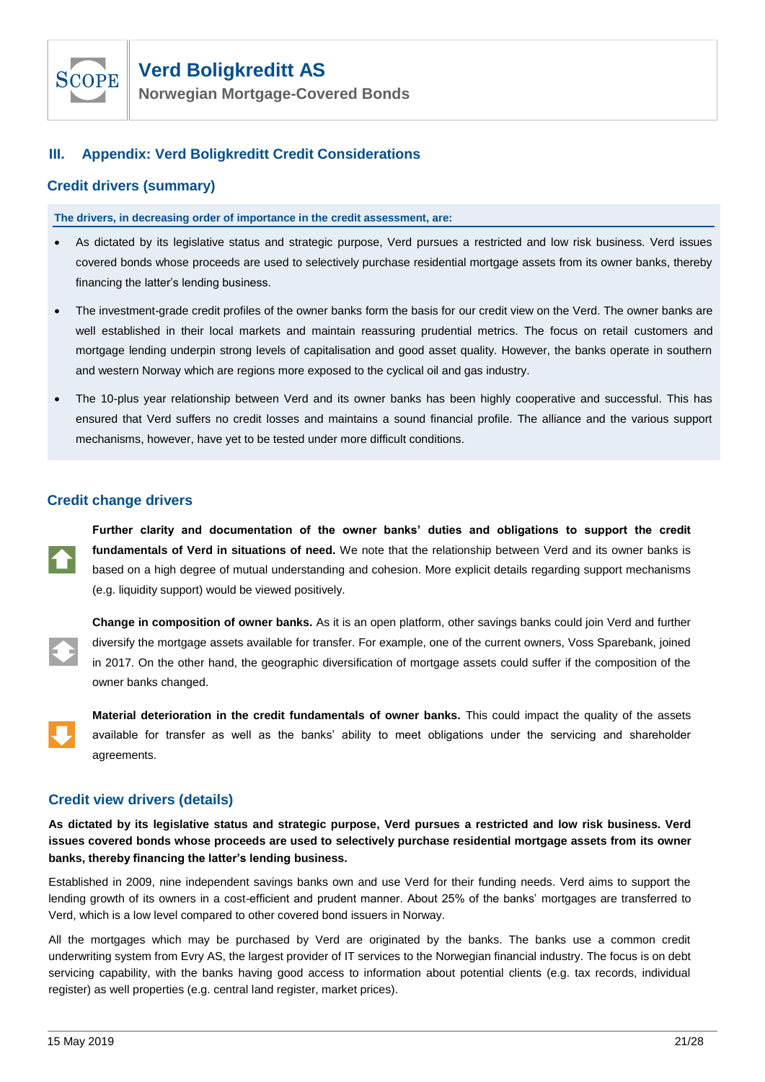

**Norwegian Mortgage-Covered Bonds**

### <span id="page-20-0"></span>**III. Appendix: Verd Boligkreditt Credit Considerations**

#### **Credit drivers (summary)**

**The drivers, in decreasing order of importance in the credit assessment, are:**

- As dictated by its legislative status and strategic purpose, Verd pursues a restricted and low risk business. Verd issues covered bonds whose proceeds are used to selectively purchase residential mortgage assets from its owner banks, thereby financing the latter's lending business.
- The investment-grade credit profiles of the owner banks form the basis for our credit view on the Verd. The owner banks are well established in their local markets and maintain reassuring prudential metrics. The focus on retail customers and mortgage lending underpin strong levels of capitalisation and good asset quality. However, the banks operate in southern and western Norway which are regions more exposed to the cyclical oil and gas industry.
- The 10-plus year relationship between Verd and its owner banks has been highly cooperative and successful. This has ensured that Verd suffers no credit losses and maintains a sound financial profile. The alliance and the various support mechanisms, however, have yet to be tested under more difficult conditions.

### **Credit change drivers**

**Further clarity and documentation of the owner banks' duties and obligations to support the credit fundamentals of Verd in situations of need.** We note that the relationship between Verd and its owner banks is based on a high degree of mutual understanding and cohesion. More explicit details regarding support mechanisms (e.g. liquidity support) would be viewed positively.

**Change in composition of owner banks.** As it is an open platform, other savings banks could join Verd and further diversify the mortgage assets available for transfer. For example, one of the current owners, Voss Sparebank, joined in 2017. On the other hand, the geographic diversification of mortgage assets could suffer if the composition of the owner banks changed.

**Material deterioration in the credit fundamentals of owner banks.** This could impact the quality of the assets available for transfer as well as the banks' ability to meet obligations under the servicing and shareholder agreements.

### **Credit view drivers (details)**

**As dictated by its legislative status and strategic purpose, Verd pursues a restricted and low risk business. Verd issues covered bonds whose proceeds are used to selectively purchase residential mortgage assets from its owner banks, thereby financing the latter's lending business.**

Established in 2009, nine independent savings banks own and use Verd for their funding needs. Verd aims to support the lending growth of its owners in a cost-efficient and prudent manner. About 25% of the banks' mortgages are transferred to Verd, which is a low level compared to other covered bond issuers in Norway.

All the mortgages which may be purchased by Verd are originated by the banks. The banks use a common credit underwriting system from Evry AS, the largest provider of IT services to the Norwegian financial industry. The focus is on debt servicing capability, with the banks having good access to information about potential clients (e.g. tax records, individual register) as well properties (e.g. central land register, market prices).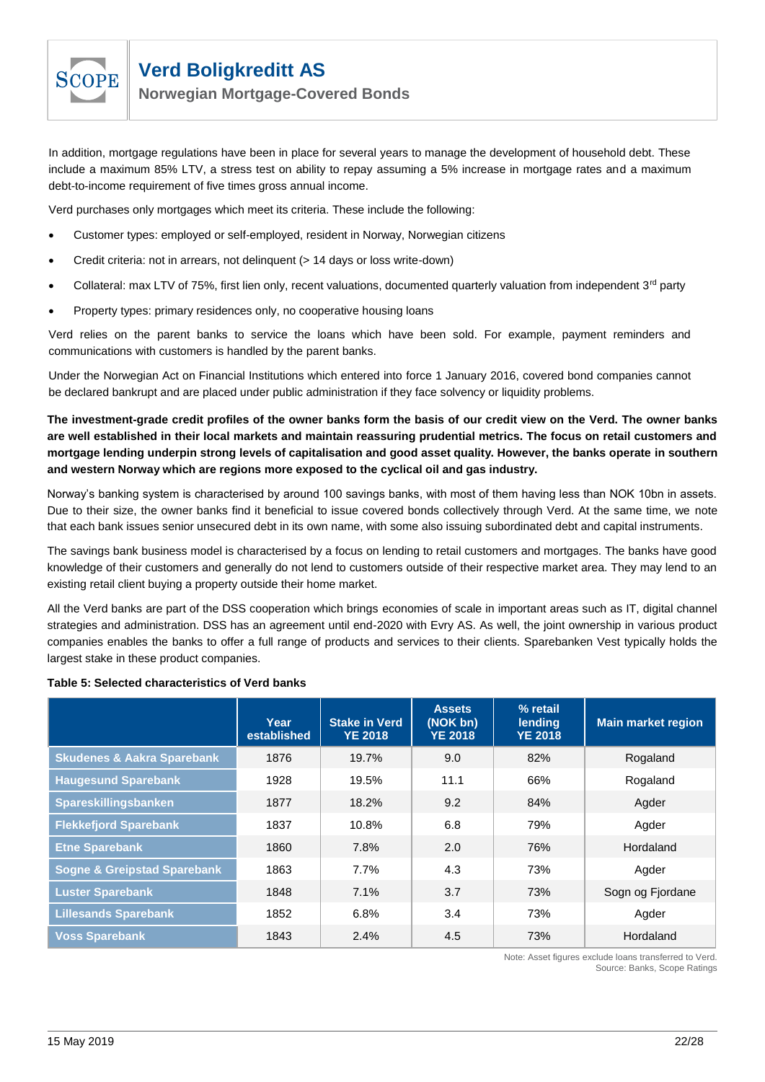

**Norwegian Mortgage-Covered Bonds**

In addition, mortgage regulations have been in place for several years to manage the development of household debt. These include a maximum 85% LTV, a stress test on ability to repay assuming a 5% increase in mortgage rates and a maximum debt-to-income requirement of five times gross annual income.

Verd purchases only mortgages which meet its criteria. These include the following:

- Customer types: employed or self-employed, resident in Norway, Norwegian citizens
- Credit criteria: not in arrears, not delinquent (> 14 days or loss write-down)
- Collateral: max LTV of 75%, first lien only, recent valuations, documented quarterly valuation from independent  $3<sup>rd</sup>$  party
- Property types: primary residences only, no cooperative housing loans

Verd relies on the parent banks to service the loans which have been sold. For example, payment reminders and communications with customers is handled by the parent banks.

Under the Norwegian Act on Financial Institutions which entered into force 1 January 2016, covered bond companies cannot be declared bankrupt and are placed under public administration if they face solvency or liquidity problems.

**The investment-grade credit profiles of the owner banks form the basis of our credit view on the Verd. The owner banks are well established in their local markets and maintain reassuring prudential metrics. The focus on retail customers and mortgage lending underpin strong levels of capitalisation and good asset quality. However, the banks operate in southern and western Norway which are regions more exposed to the cyclical oil and gas industry.**

Norway's banking system is characterised by around 100 savings banks, with most of them having less than NOK 10bn in assets. Due to their size, the owner banks find it beneficial to issue covered bonds collectively through Verd. At the same time, we note that each bank issues senior unsecured debt in its own name, with some also issuing subordinated debt and capital instruments.

The savings bank business model is characterised by a focus on lending to retail customers and mortgages. The banks have good knowledge of their customers and generally do not lend to customers outside of their respective market area. They may lend to an existing retail client buying a property outside their home market.

All the Verd banks are part of the DSS cooperation which brings economies of scale in important areas such as IT, digital channel strategies and administration. DSS has an agreement until end-2020 with Evry AS. As well, the joint ownership in various product companies enables the banks to offer a full range of products and services to their clients. Sparebanken Vest typically holds the largest stake in these product companies.

#### **Table 5: Selected characteristics of Verd banks**

|                                        | Year<br>established | <b>Stake in Verd</b><br><b>YE 2018</b> | <b>Assets</b><br>(NOK bn)<br><b>YE 2018</b> | % retail<br>lending<br><b>YE 2018</b> | <b>Main market region</b> |
|----------------------------------------|---------------------|----------------------------------------|---------------------------------------------|---------------------------------------|---------------------------|
| <b>Skudenes &amp; Aakra Sparebank</b>  | 1876                | 19.7%                                  | 9.0                                         | 82%                                   | Rogaland                  |
| <b>Haugesund Sparebank</b>             | 1928                | 19.5%                                  | 11.1                                        | 66%                                   | Rogaland                  |
| Spareskillingsbanken                   | 1877                | 18.2%                                  | 9.2                                         | 84%                                   | Agder                     |
| <b>Flekkefjord Sparebank</b>           | 1837                | 10.8%                                  | 6.8                                         | 79%                                   | Agder                     |
| <b>Etne Sparebank</b>                  | 1860                | 7.8%                                   | 2.0                                         | 76%                                   | Hordaland                 |
| <b>Sogne &amp; Greipstad Sparebank</b> | 1863                | 7.7%                                   | 4.3                                         | 73%                                   | Agder                     |
| <b>Luster Sparebank</b>                | 1848                | $7.1\%$                                | 3.7                                         | 73%                                   | Sogn og Fjordane          |
| <b>Lillesands Sparebank</b>            | 1852                | 6.8%                                   | 3.4                                         | 73%                                   | Agder                     |
| <b>Voss Sparebank</b>                  | 1843                | 2.4%                                   | 4.5                                         | 73%                                   | Hordaland                 |

Note: Asset figures exclude loans transferred to Verd. Source: Banks, Scope Ratings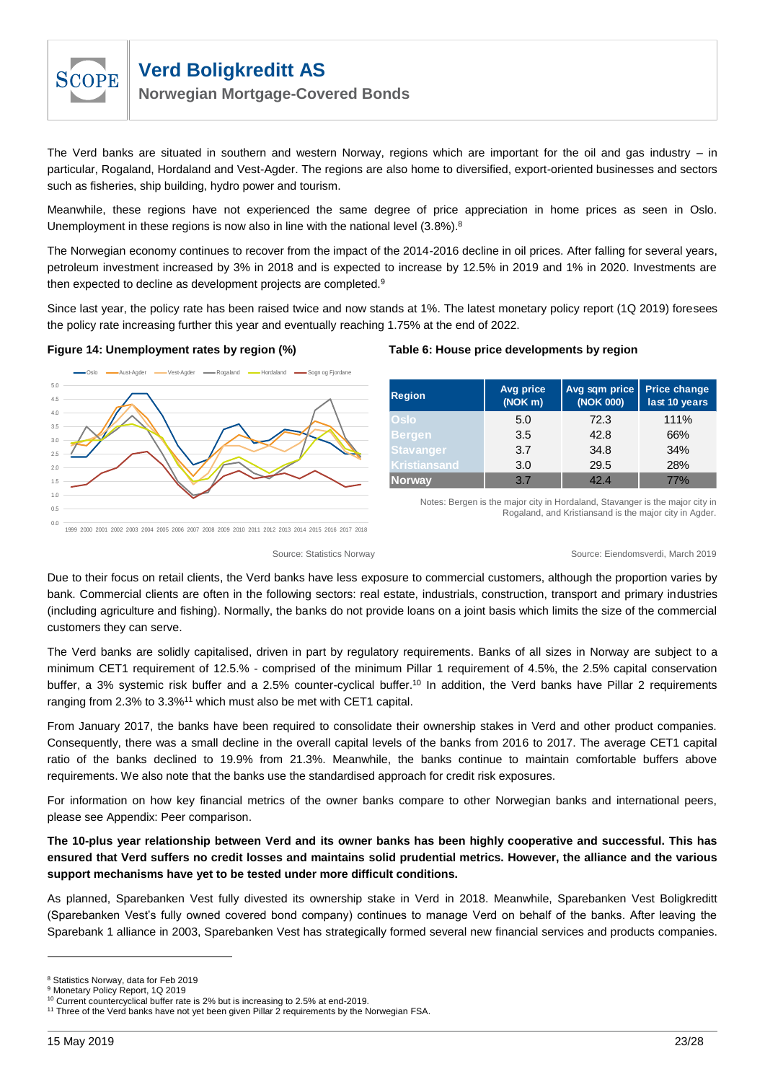

**Norwegian Mortgage-Covered Bonds**

The Verd banks are situated in southern and western Norway, regions which are important for the oil and gas industry – in particular, Rogaland, Hordaland and Vest-Agder. The regions are also home to diversified, export-oriented businesses and sectors such as fisheries, ship building, hydro power and tourism.

Meanwhile, these regions have not experienced the same degree of price appreciation in home prices as seen in Oslo. Unemployment in these regions is now also in line with the national level  $(3.8\%)$ .<sup>8</sup>

The Norwegian economy continues to recover from the impact of the 2014-2016 decline in oil prices. After falling for several years, petroleum investment increased by 3% in 2018 and is expected to increase by 12.5% in 2019 and 1% in 2020. Investments are then expected to decline as development projects are completed.<sup>9</sup>

Since last year, the policy rate has been raised twice and now stands at 1%. The latest monetary policy report (1Q 2019) foresees the policy rate increasing further this year and eventually reaching 1.75% at the end of 2022.



#### **Figure 14: Unemployment rates by region (%) Table 6: House price developments by region**

| <b>Region</b>    | Avg price<br>(NOK <sub>m</sub> ) | Avg sqm price<br>(NOK 000) | <b>Price change</b><br>last 10 years |
|------------------|----------------------------------|----------------------------|--------------------------------------|
| Oslo             | 5.0                              | 72.3                       | 111%                                 |
| Bergen           | 3.5                              | 42.8                       | 66%                                  |
| <b>Stavanger</b> | 3.7                              | 34.8                       | 34%                                  |
| Kristiansand     | 3.0                              | 29.5                       | 28%                                  |
| <b>Norway</b>    | 3.7                              | 42.4                       | 77%                                  |

Notes: Bergen is the major city in Hordaland, Stavanger is the major city in Rogaland, and Kristiansand is the major city in Agder.

Source: Statistics Norway Source: Eiendomsverdi, March 2019

Due to their focus on retail clients, the Verd banks have less exposure to commercial customers, although the proportion varies by bank. Commercial clients are often in the following sectors: real estate, industrials, construction, transport and primary industries (including agriculture and fishing). Normally, the banks do not provide loans on a joint basis which limits the size of the commercial customers they can serve.

The Verd banks are solidly capitalised, driven in part by regulatory requirements. Banks of all sizes in Norway are subject to a minimum CET1 requirement of 12.5.% - comprised of the minimum Pillar 1 requirement of 4.5%, the 2.5% capital conservation buffer, a 3% systemic risk buffer and a 2.5% counter-cyclical buffer.<sup>10</sup> In addition, the Verd banks have Pillar 2 requirements ranging from 2.3% to 3.3%<sup>11</sup> which must also be met with CET1 capital.

From January 2017, the banks have been required to consolidate their ownership stakes in Verd and other product companies. Consequently, there was a small decline in the overall capital levels of the banks from 2016 to 2017. The average CET1 capital ratio of the banks declined to 19.9% from 21.3%. Meanwhile, the banks continue to maintain comfortable buffers above requirements. We also note that the banks use the standardised approach for credit risk exposures.

For information on how key financial metrics of the owner banks compare to other Norwegian banks and international peers, please see [Appendix: Peer comparison.](#page-24-0)

**The 10-plus year relationship between Verd and its owner banks has been highly cooperative and successful. This has ensured that Verd suffers no credit losses and maintains solid prudential metrics. However, the alliance and the various support mechanisms have yet to be tested under more difficult conditions.**

As planned, Sparebanken Vest fully divested its ownership stake in Verd in 2018. Meanwhile, Sparebanken Vest Boligkreditt (Sparebanken Vest's fully owned covered bond company) continues to manage Verd on behalf of the banks. After leaving the Sparebank 1 alliance in 2003, Sparebanken Vest has strategically formed several new financial services and products companies.

l

<sup>8</sup> Statistics Norway, data for Feb 2019

<sup>&</sup>lt;sup>9</sup> Monetary Policy Report, 1Q 2019

<sup>&</sup>lt;sup>10</sup> Current countercyclical buffer rate is 2% but is increasing to 2.5% at end-2019.

<sup>&</sup>lt;sup>11</sup> Three of the Verd banks have not yet been given Pillar 2 requirements by the Norwegian FSA.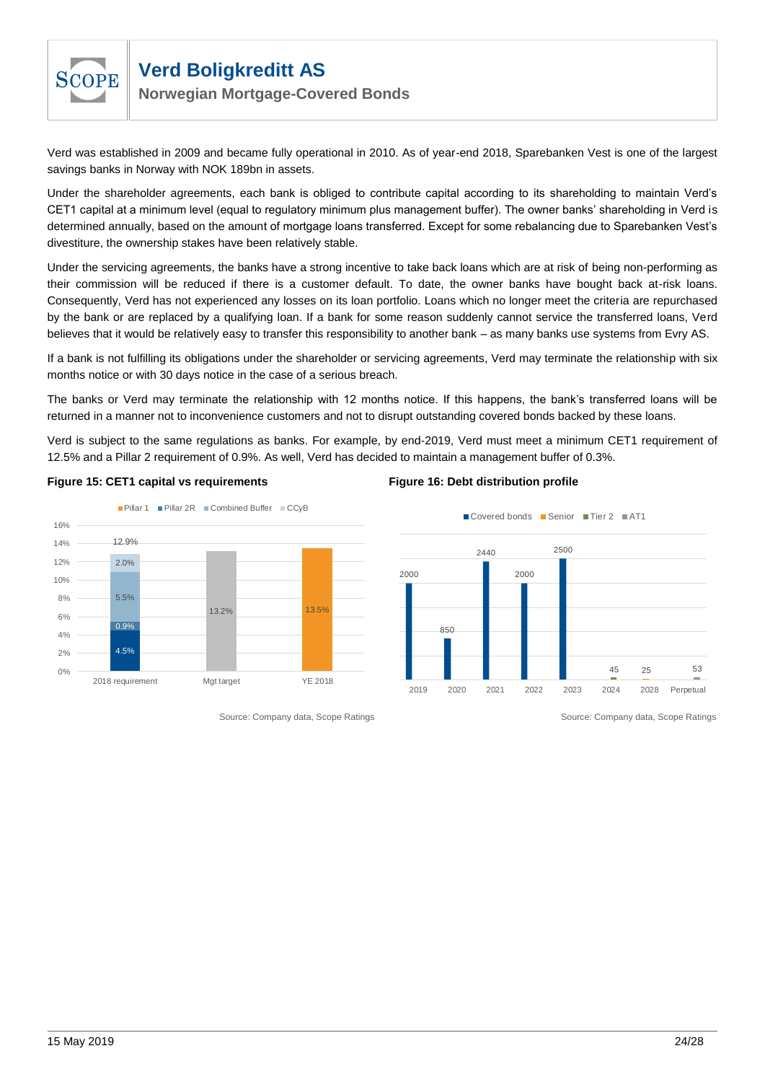

**Norwegian Mortgage-Covered Bonds**

Verd was established in 2009 and became fully operational in 2010. As of year-end 2018, Sparebanken Vest is one of the largest savings banks in Norway with NOK 189bn in assets.

Under the shareholder agreements, each bank is obliged to contribute capital according to its shareholding to maintain Verd's CET1 capital at a minimum level (equal to regulatory minimum plus management buffer). The owner banks' shareholding in Verd is determined annually, based on the amount of mortgage loans transferred. Except for some rebalancing due to Sparebanken Vest's divestiture, the ownership stakes have been relatively stable.

Under the servicing agreements, the banks have a strong incentive to take back loans which are at risk of being non-performing as their commission will be reduced if there is a customer default. To date, the owner banks have bought back at-risk loans. Consequently, Verd has not experienced any losses on its loan portfolio. Loans which no longer meet the criteria are repurchased by the bank or are replaced by a qualifying loan. If a bank for some reason suddenly cannot service the transferred loans, Verd believes that it would be relatively easy to transfer this responsibility to another bank – as many banks use systems from Evry AS.

If a bank is not fulfilling its obligations under the shareholder or servicing agreements, Verd may terminate the relationship with six months notice or with 30 days notice in the case of a serious breach.

The banks or Verd may terminate the relationship with 12 months notice. If this happens, the bank's transferred loans will be returned in a manner not to inconvenience customers and not to disrupt outstanding covered bonds backed by these loans.

Verd is subject to the same regulations as banks. For example, by end-2019, Verd must meet a minimum CET1 requirement of 12.5% and a Pillar 2 requirement of 0.9%. As well, Verd has decided to maintain a management buffer of 0.3%.



#### **Figure 15: CET1 capital vs requirements Figure 16: Debt distribution profile**



Source: Company data, Scope Ratings Source: Company data, Scope Ratings Source: Company data, Scope Ratings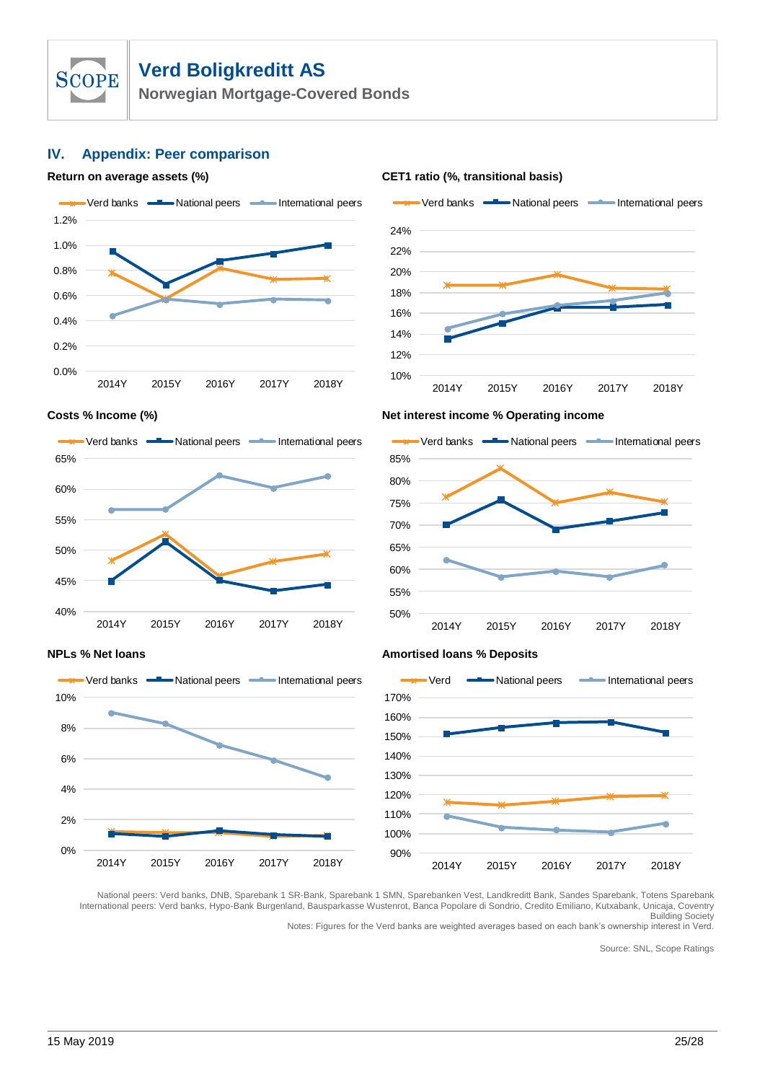

**Norwegian Mortgage-Covered Bonds**

### <span id="page-24-0"></span>**IV. Appendix: Peer comparison**







#### **Costs % Income (%) Net interest income % Operating income**





#### **NPLs** % Net loans **Amortised loans** % Deposits



National peers: Verd banks, DNB, Sparebank 1 SR-Bank, Sparebank 1 SMN, Sparebanken Vest, Landkreditt Bank, Sandes Sparebank, Totens Sparebank International peers: Verd banks, Hypo-Bank Burgenland, Bausparkasse Wustenrot, Banca Popolare di Sondrio, Credito Emiliano, Kutxabank, Unicaja, Coventry Building Society

Notes: Figures for the Verd banks are weighted averages based on each bank's ownership interest in Verd.

Source: SNL, Scope Ratings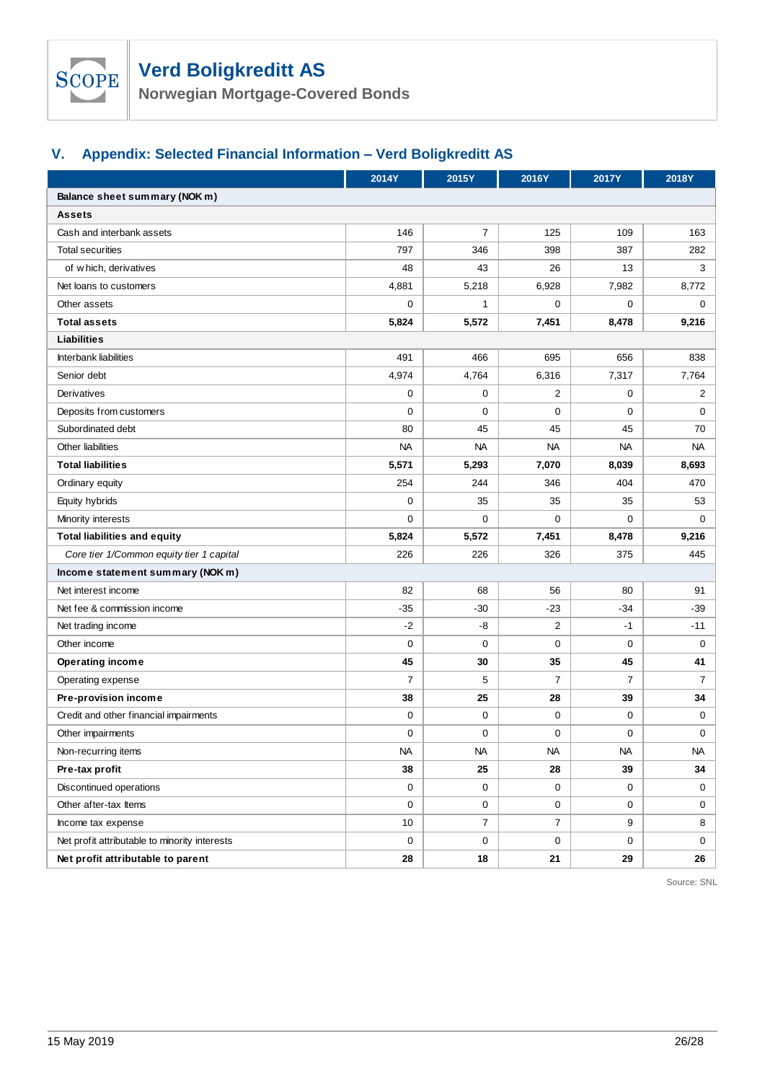

**Norwegian Mortgage-Covered Bonds**

# <span id="page-25-0"></span>**V. Appendix: Selected Financial Information – Verd Boligkreditt AS**

|                                               | 2014Y          | 2015Y          | 2016Y          | <b>2017Y</b>   | 2018Y          |  |  |  |  |
|-----------------------------------------------|----------------|----------------|----------------|----------------|----------------|--|--|--|--|
| Balance sheet summary (NOK m)                 |                |                |                |                |                |  |  |  |  |
| <b>Assets</b>                                 |                |                |                |                |                |  |  |  |  |
| Cash and interbank assets                     | 146            | $\overline{7}$ | 125            | 109            | 163            |  |  |  |  |
| <b>Total securities</b>                       | 797            | 346            | 398            | 387            | 282            |  |  |  |  |
| of which, derivatives                         | 48             | 43             | 26             | 13             | 3              |  |  |  |  |
| Net loans to customers                        | 4,881          | 5,218          | 6,928          | 7,982          | 8,772          |  |  |  |  |
| Other assets                                  | 0              | $\mathbf{1}$   | 0              | $\mathbf 0$    | 0              |  |  |  |  |
| <b>Total assets</b>                           | 5,824          | 5,572          | 7,451          | 8,478          | 9,216          |  |  |  |  |
| Liabilities                                   |                |                |                |                |                |  |  |  |  |
| Interbank liabilities                         | 491            | 466            | 695            | 656            | 838            |  |  |  |  |
| Senior debt                                   | 4,974          | 4,764          | 6,316          | 7,317          | 7,764          |  |  |  |  |
| Derivatives                                   | $\mathbf 0$    | 0              | $\overline{2}$ | $\mathbf 0$    | 2              |  |  |  |  |
| Deposits from customers                       | 0              | 0              | 0              | $\mathbf 0$    | 0              |  |  |  |  |
| Subordinated debt                             | 80             | 45             | 45             | 45             | 70             |  |  |  |  |
| Other liabilities                             | <b>NA</b>      | NA             | <b>NA</b>      | NA             | NA             |  |  |  |  |
| <b>Total liabilities</b>                      | 5,571          | 5,293          | 7,070          | 8,039          | 8,693          |  |  |  |  |
| Ordinary equity                               | 254            | 244            | 346            | 404            | 470            |  |  |  |  |
| Equity hybrids                                | $\mathbf 0$    | 35             | 35             | 35             | 53             |  |  |  |  |
| Minority interests                            | $\mathbf 0$    | 0              | 0              | $\mathbf 0$    | 0              |  |  |  |  |
| <b>Total liabilities and equity</b>           | 5,824          | 5,572          | 7,451          | 8,478          | 9,216          |  |  |  |  |
| Core tier 1/Common equity tier 1 capital      | 226            | 226            | 326            | 375            | 445            |  |  |  |  |
| Income statement summary (NOK m)              |                |                |                |                |                |  |  |  |  |
| Net interest income                           | 82             | 68             | 56             | 80             | 91             |  |  |  |  |
| Net fee & commission income                   | $-35$          | $-30$          | $-23$          | $-34$          | -39            |  |  |  |  |
| Net trading income                            | $-2$           | -8             | $\overline{2}$ | -1             | $-11$          |  |  |  |  |
| Other income                                  | 0              | 0              | 0              | $\mathbf 0$    | 0              |  |  |  |  |
| Operating income                              | 45             | 30             | 35             | 45             | 41             |  |  |  |  |
| Operating expense                             | $\overline{7}$ | 5              | $\overline{7}$ | $\overline{7}$ | $\overline{7}$ |  |  |  |  |
| Pre-provision income                          | 38             | 25             | 28             | 39             | 34             |  |  |  |  |
| Credit and other financial impairments        | 0              | 0              | $\mathbf 0$    | 0              | 0              |  |  |  |  |
| Other impairments                             | 0              | 0              | 0              | $\mathbf 0$    | 0              |  |  |  |  |
| Non-recurring items                           | <b>NA</b>      | <b>NA</b>      | <b>NA</b>      | <b>NA</b>      | <b>NA</b>      |  |  |  |  |
| Pre-tax profit                                | 38             | 25             | 28             | 39             | 34             |  |  |  |  |
| Discontinued operations                       | $\mathbf 0$    | 0              | 0              | 0              | $\mathbf{0}$   |  |  |  |  |
| Other after-tax Items                         | 0              | 0              | 0              | $\mathbf 0$    | 0              |  |  |  |  |
| Income tax expense                            | 10             | $\overline{7}$ | $\overline{7}$ | 9              | 8              |  |  |  |  |
| Net profit attributable to minority interests | 0              | 0              | $\mathbf 0$    | 0              | 0              |  |  |  |  |
| Net profit attributable to parent             | 28             | 18             | 21             | 29             | 26             |  |  |  |  |

Source: SNL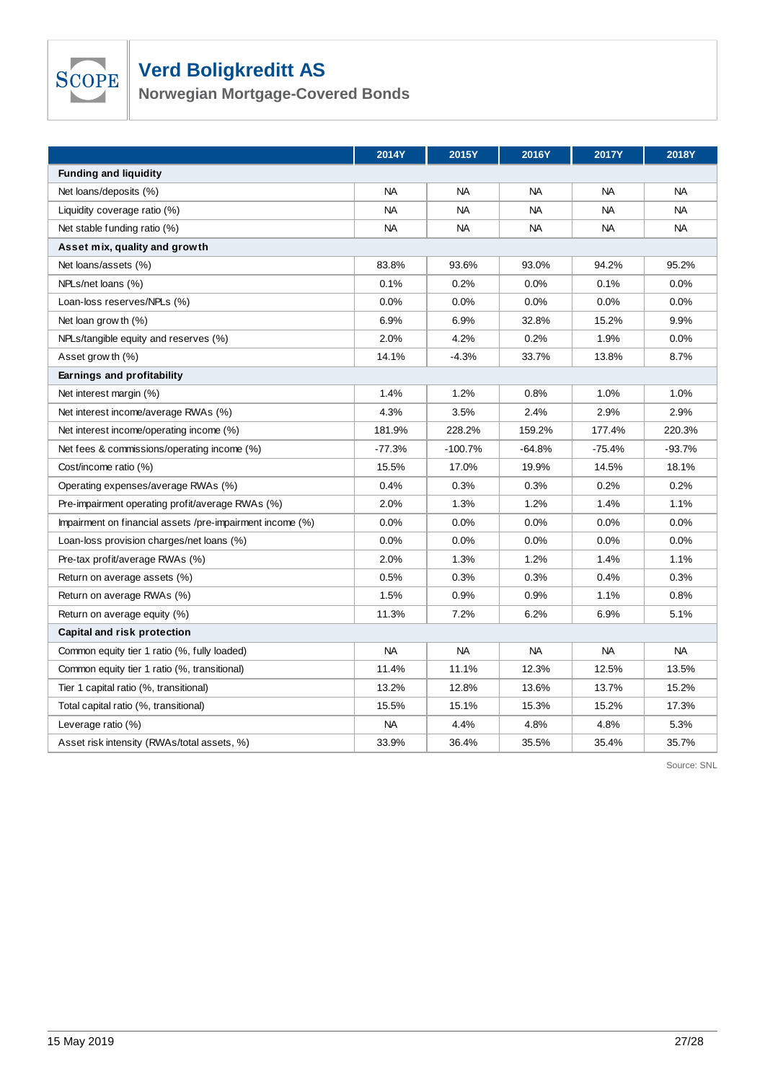# SCOPE

# **Verd Boligkreditt AS**

**Norwegian Mortgage-Covered Bonds**

|                                                           | <b>2014Y</b> | 2015Y     | 2016Y     | <b>2017Y</b> | 2018Y     |  |  |  |  |
|-----------------------------------------------------------|--------------|-----------|-----------|--------------|-----------|--|--|--|--|
| <b>Funding and liquidity</b>                              |              |           |           |              |           |  |  |  |  |
| Net loans/deposits (%)                                    | <b>NA</b>    | <b>NA</b> | <b>NA</b> | <b>NA</b>    | <b>NA</b> |  |  |  |  |
| Liquidity coverage ratio (%)                              | <b>NA</b>    | <b>NA</b> | <b>NA</b> | <b>NA</b>    | <b>NA</b> |  |  |  |  |
| Net stable funding ratio (%)                              | <b>NA</b>    | <b>NA</b> | <b>NA</b> | <b>NA</b>    | <b>NA</b> |  |  |  |  |
| Asset mix, quality and growth                             |              |           |           |              |           |  |  |  |  |
| Net loans/assets (%)                                      | 83.8%        | 93.6%     | 93.0%     | 94.2%        | 95.2%     |  |  |  |  |
| NPLs/net loans (%)                                        | 0.1%         | 0.2%      | 0.0%      | 0.1%         | 0.0%      |  |  |  |  |
| Loan-loss reserves/NPLs (%)                               | 0.0%         | 0.0%      | 0.0%      | 0.0%         | 0.0%      |  |  |  |  |
| Net loan grow th (%)                                      | 6.9%         | 6.9%      | 32.8%     | 15.2%        | 9.9%      |  |  |  |  |
| NPLs/tangible equity and reserves (%)                     | 2.0%         | 4.2%      | 0.2%      | 1.9%         | 0.0%      |  |  |  |  |
| Asset grow th (%)                                         | 14.1%        | $-4.3%$   | 33.7%     | 13.8%        | 8.7%      |  |  |  |  |
| Earnings and profitability                                |              |           |           |              |           |  |  |  |  |
| Net interest margin (%)                                   | 1.4%         | 1.2%      | 0.8%      | 1.0%         | 1.0%      |  |  |  |  |
| Net interest income/average RWAs (%)                      | 4.3%         | 3.5%      | 2.4%      | 2.9%         | 2.9%      |  |  |  |  |
| Net interest income/operating income (%)                  | 181.9%       | 228.2%    | 159.2%    | 177.4%       | 220.3%    |  |  |  |  |
| Net fees & commissions/operating income (%)               | $-77.3%$     | $-100.7%$ | $-64.8%$  | $-75.4%$     | $-93.7%$  |  |  |  |  |
| Cost/income ratio (%)                                     | 15.5%        | 17.0%     | 19.9%     | 14.5%        | 18.1%     |  |  |  |  |
| Operating expenses/average RWAs (%)                       | 0.4%         | 0.3%      | 0.3%      | 0.2%         | 0.2%      |  |  |  |  |
| Pre-impairment operating profit/average RWAs (%)          | 2.0%         | 1.3%      | 1.2%      | 1.4%         | 1.1%      |  |  |  |  |
| Impairment on financial assets /pre-impairment income (%) | 0.0%         | 0.0%      | $0.0\%$   | 0.0%         | $0.0\%$   |  |  |  |  |
| Loan-loss provision charges/net loans (%)                 | 0.0%         | 0.0%      | 0.0%      | 0.0%         | 0.0%      |  |  |  |  |
| Pre-tax profit/average RWAs (%)                           | 2.0%         | 1.3%      | 1.2%      | 1.4%         | 1.1%      |  |  |  |  |
| Return on average assets (%)                              | 0.5%         | 0.3%      | 0.3%      | 0.4%         | 0.3%      |  |  |  |  |
| Return on average RWAs (%)                                | 1.5%         | 0.9%      | 0.9%      | 1.1%         | 0.8%      |  |  |  |  |
| Return on average equity (%)                              | 11.3%        | 7.2%      | 6.2%      | 6.9%         | 5.1%      |  |  |  |  |
| Capital and risk protection                               |              |           |           |              |           |  |  |  |  |
| Common equity tier 1 ratio (%, fully loaded)              | <b>NA</b>    | <b>NA</b> | <b>NA</b> | <b>NA</b>    | <b>NA</b> |  |  |  |  |
| Common equity tier 1 ratio (%, transitional)              | 11.4%        | 11.1%     | 12.3%     | 12.5%        | 13.5%     |  |  |  |  |
| Tier 1 capital ratio (%, transitional)                    | 13.2%        | 12.8%     | 13.6%     | 13.7%        | 15.2%     |  |  |  |  |
| Total capital ratio (%, transitional)                     | 15.5%        | 15.1%     | 15.3%     | 15.2%        | 17.3%     |  |  |  |  |
| Leverage ratio (%)                                        | <b>NA</b>    | 4.4%      | 4.8%      | 4.8%         | 5.3%      |  |  |  |  |
| Asset risk intensity (RWAs/total assets, %)               | 33.9%        | 36.4%     | 35.5%     | 35.4%        | 35.7%     |  |  |  |  |

Source: SNL